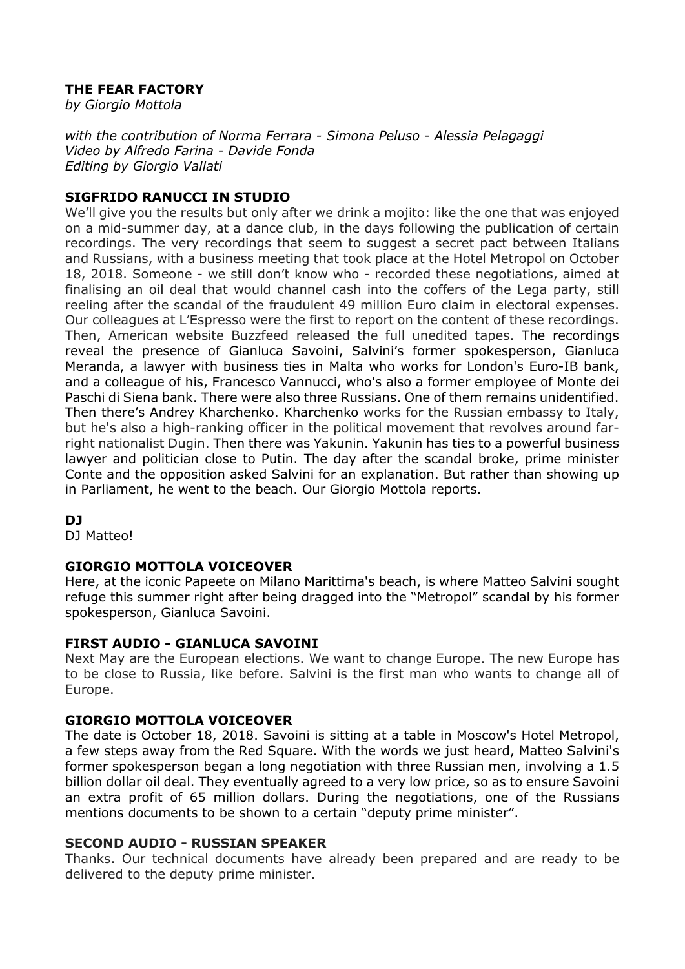# THE FEAR FACTORY

by Giorgio Mottola

with the contribution of Norma Ferrara - Simona Peluso - Alessia Pelagaggi Video by Alfredo Farina - Davide Fonda Editing by Giorgio Vallati

# SIGFRIDO RANUCCI IN STUDIO

We'll give you the results but only after we drink a mojito: like the one that was enjoyed on a mid-summer day, at a dance club, in the days following the publication of certain recordings. The very recordings that seem to suggest a secret pact between Italians and Russians, with a business meeting that took place at the Hotel Metropol on October 18, 2018. Someone - we still don't know who - recorded these negotiations, aimed at finalising an oil deal that would channel cash into the coffers of the Lega party, still reeling after the scandal of the fraudulent 49 million Euro claim in electoral expenses. Our colleagues at L'Espresso were the first to report on the content of these recordings. Then, American website Buzzfeed released the full unedited tapes. The recordings reveal the presence of Gianluca Savoini, Salvini's former spokesperson, Gianluca Meranda, a lawyer with business ties in Malta who works for London's Euro-IB bank, and a colleague of his, Francesco Vannucci, who's also a former employee of Monte dei Paschi di Siena bank. There were also three Russians. One of them remains unidentified. Then there's Andrey Kharchenko. Kharchenko works for the Russian embassy to Italy, but he's also a high-ranking officer in the political movement that revolves around farright nationalist Dugin. Then there was Yakunin. Yakunin has ties to a powerful business lawyer and politician close to Putin. The day after the scandal broke, prime minister Conte and the opposition asked Salvini for an explanation. But rather than showing up in Parliament, he went to the beach. Our Giorgio Mottola reports.

# DJ

DJ Matteo!

# GIORGIO MOTTOLA VOICEOVER

Here, at the iconic Papeete on Milano Marittima's beach, is where Matteo Salvini sought refuge this summer right after being dragged into the "Metropol" scandal by his former spokesperson, Gianluca Savoini.

# FIRST AUDIO - GIANLUCA SAVOINI

Next May are the European elections. We want to change Europe. The new Europe has to be close to Russia, like before. Salvini is the first man who wants to change all of Europe.

# GIORGIO MOTTOLA VOICEOVER

The date is October 18, 2018. Savoini is sitting at a table in Moscow's Hotel Metropol, a few steps away from the Red Square. With the words we just heard, Matteo Salvini's former spokesperson began a long negotiation with three Russian men, involving a 1.5 billion dollar oil deal. They eventually agreed to a very low price, so as to ensure Savoini an extra profit of 65 million dollars. During the negotiations, one of the Russians mentions documents to be shown to a certain "deputy prime minister".

#### SECOND AUDIO - RUSSIAN SPEAKER

Thanks. Our technical documents have already been prepared and are ready to be delivered to the deputy prime minister.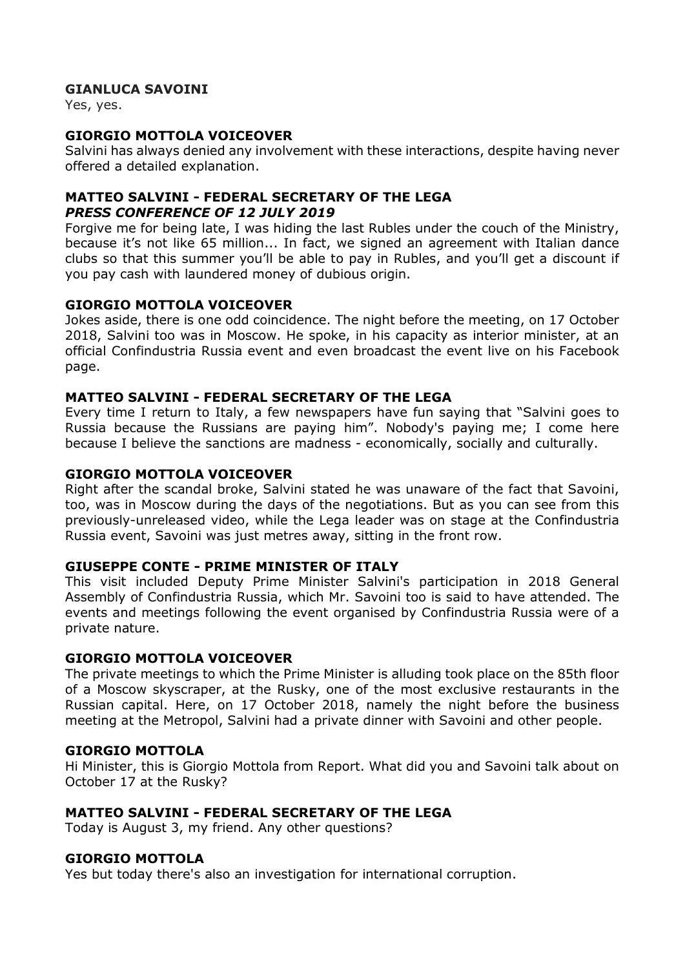# GIANLUCA SAVOINI

Yes, yes.

# GIORGIO MOTTOLA VOICEOVER

Salvini has always denied any involvement with these interactions, despite having never offered a detailed explanation.

# MATTEO SALVINI - FEDERAL SECRETARY OF THE LEGA PRESS CONFERENCE OF 12 JULY 2019

Forgive me for being late, I was hiding the last Rubles under the couch of the Ministry, because it's not like 65 million... In fact, we signed an agreement with Italian dance clubs so that this summer you'll be able to pay in Rubles, and you'll get a discount if you pay cash with laundered money of dubious origin.

#### GIORGIO MOTTOLA VOICEOVER

Jokes aside, there is one odd coincidence. The night before the meeting, on 17 October 2018, Salvini too was in Moscow. He spoke, in his capacity as interior minister, at an official Confindustria Russia event and even broadcast the event live on his Facebook page.

# MATTEO SALVINI - FEDERAL SECRETARY OF THE LEGA

Every time I return to Italy, a few newspapers have fun saying that "Salvini goes to Russia because the Russians are paying him". Nobody's paying me; I come here because I believe the sanctions are madness - economically, socially and culturally.

# GIORGIO MOTTOLA VOICEOVER

Right after the scandal broke, Salvini stated he was unaware of the fact that Savoini, too, was in Moscow during the days of the negotiations. But as you can see from this previously-unreleased video, while the Lega leader was on stage at the Confindustria Russia event, Savoini was just metres away, sitting in the front row.

#### GIUSEPPE CONTE - PRIME MINISTER OF ITALY

This visit included Deputy Prime Minister Salvini's participation in 2018 General Assembly of Confindustria Russia, which Mr. Savoini too is said to have attended. The events and meetings following the event organised by Confindustria Russia were of a private nature.

#### GIORGIO MOTTOLA VOICEOVER

The private meetings to which the Prime Minister is alluding took place on the 85th floor of a Moscow skyscraper, at the Rusky, one of the most exclusive restaurants in the Russian capital. Here, on 17 October 2018, namely the night before the business meeting at the Metropol, Salvini had a private dinner with Savoini and other people.

#### GIORGIO MOTTOLA

Hi Minister, this is Giorgio Mottola from Report. What did you and Savoini talk about on October 17 at the Rusky?

#### MATTEO SALVINI - FEDERAL SECRETARY OF THE LEGA

Today is August 3, my friend. Any other questions?

#### GIORGIO MOTTOLA

Yes but today there's also an investigation for international corruption.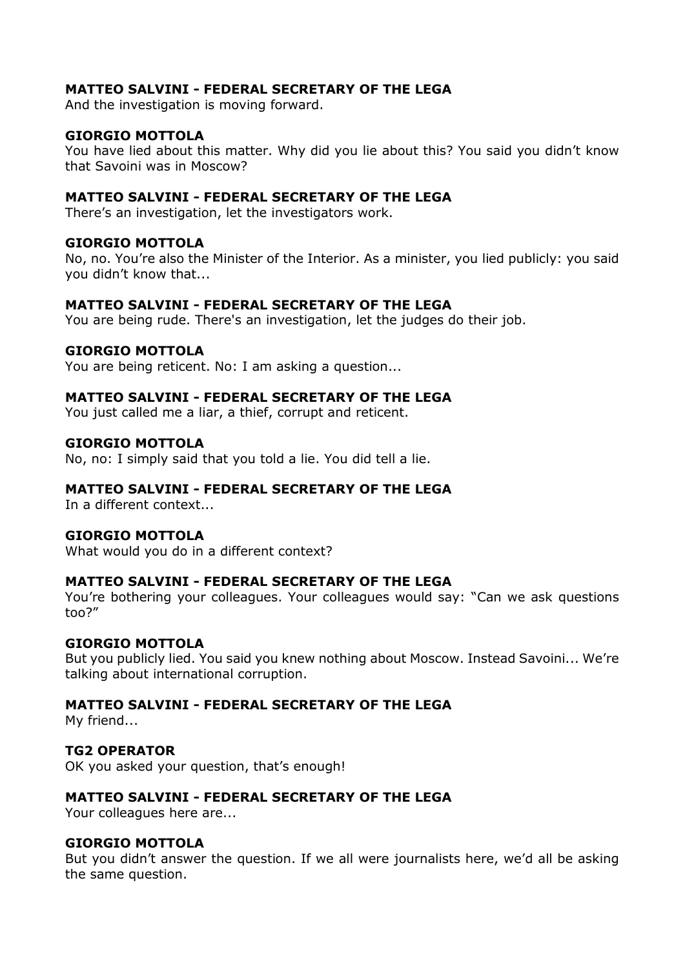# MATTEO SALVINI - FEDERAL SECRETARY OF THE LEGA

And the investigation is moving forward.

#### GIORGIO MOTTOLA

You have lied about this matter. Why did you lie about this? You said you didn't know that Savoini was in Moscow?

# MATTEO SALVINI - FEDERAL SECRETARY OF THE LEGA

There's an investigation, let the investigators work.

#### GIORGIO MOTTOLA

No, no. You're also the Minister of the Interior. As a minister, you lied publicly: you said you didn't know that...

#### MATTEO SALVINI - FEDERAL SECRETARY OF THE LEGA

You are being rude. There's an investigation, let the judges do their job.

#### GIORGIO MOTTOLA

You are being reticent. No: I am asking a question...

#### MATTEO SALVINI - FEDERAL SECRETARY OF THE LEGA

You just called me a liar, a thief, corrupt and reticent.

#### GIORGIO MOTTOLA

No, no: I simply said that you told a lie. You did tell a lie.

#### MATTEO SALVINI - FEDERAL SECRETARY OF THE LEGA

In a different context...

#### GIORGIO MOTTOLA

What would you do in a different context?

#### MATTEO SALVINI - FEDERAL SECRETARY OF THE LEGA

You're bothering your colleagues. Your colleagues would say: "Can we ask questions too?"

#### GIORGIO MOTTOLA

But you publicly lied. You said you knew nothing about Moscow. Instead Savoini... We're talking about international corruption.

# MATTEO SALVINI - FEDERAL SECRETARY OF THE LEGA

My friend...

#### TG2 OPERATOR

OK you asked your question, that's enough!

#### MATTEO SALVINI - FEDERAL SECRETARY OF THE LEGA

Your colleagues here are...

#### GIORGIO MOTTOLA

But you didn't answer the question. If we all were journalists here, we'd all be asking the same question.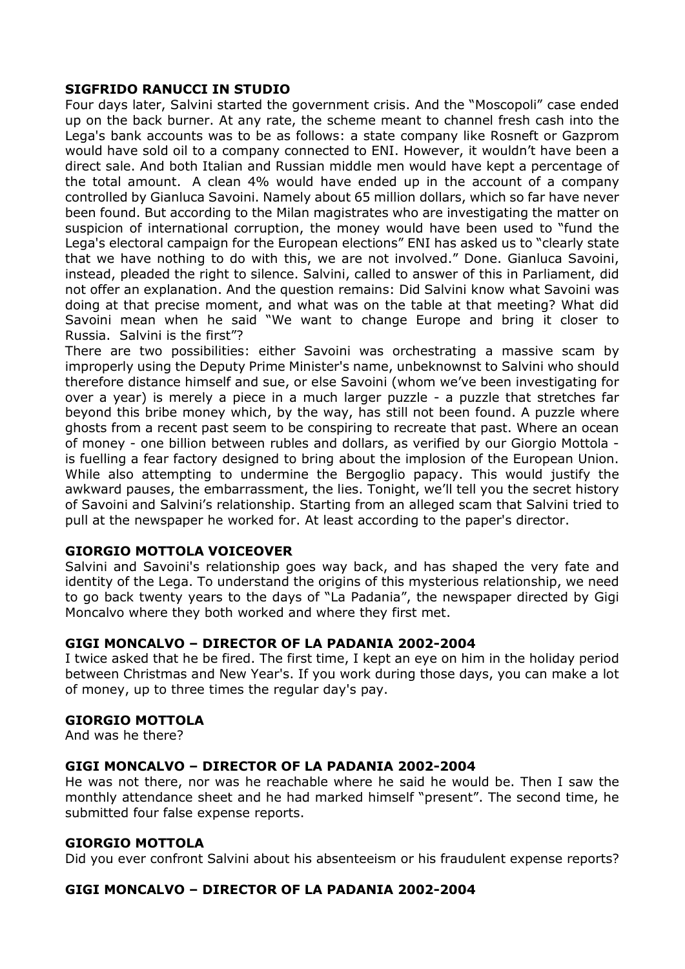# SIGFRIDO RANUCCI IN STUDIO

Four days later, Salvini started the government crisis. And the "Moscopoli" case ended up on the back burner. At any rate, the scheme meant to channel fresh cash into the Lega's bank accounts was to be as follows: a state company like Rosneft or Gazprom would have sold oil to a company connected to ENI. However, it wouldn't have been a direct sale. And both Italian and Russian middle men would have kept a percentage of the total amount. A clean 4% would have ended up in the account of a company controlled by Gianluca Savoini. Namely about 65 million dollars, which so far have never been found. But according to the Milan magistrates who are investigating the matter on suspicion of international corruption, the money would have been used to "fund the Lega's electoral campaign for the European elections" ENI has asked us to "clearly state that we have nothing to do with this, we are not involved." Done. Gianluca Savoini, instead, pleaded the right to silence. Salvini, called to answer of this in Parliament, did not offer an explanation. And the question remains: Did Salvini know what Savoini was doing at that precise moment, and what was on the table at that meeting? What did Savoini mean when he said "We want to change Europe and bring it closer to Russia. Salvini is the first"?

There are two possibilities: either Savoini was orchestrating a massive scam by improperly using the Deputy Prime Minister's name, unbeknownst to Salvini who should therefore distance himself and sue, or else Savoini (whom we've been investigating for over a year) is merely a piece in a much larger puzzle - a puzzle that stretches far beyond this bribe money which, by the way, has still not been found. A puzzle where ghosts from a recent past seem to be conspiring to recreate that past. Where an ocean of money - one billion between rubles and dollars, as verified by our Giorgio Mottola is fuelling a fear factory designed to bring about the implosion of the European Union. While also attempting to undermine the Bergoglio papacy. This would justify the awkward pauses, the embarrassment, the lies. Tonight, we'll tell you the secret history of Savoini and Salvini's relationship. Starting from an alleged scam that Salvini tried to pull at the newspaper he worked for. At least according to the paper's director.

# GIORGIO MOTTOLA VOICEOVER

Salvini and Savoini's relationship goes way back, and has shaped the very fate and identity of the Lega. To understand the origins of this mysterious relationship, we need to go back twenty years to the days of "La Padania", the newspaper directed by Gigi Moncalvo where they both worked and where they first met.

#### GIGI MONCALVO – DIRECTOR OF LA PADANIA 2002-2004

I twice asked that he be fired. The first time, I kept an eye on him in the holiday period between Christmas and New Year's. If you work during those days, you can make a lot of money, up to three times the regular day's pay.

#### GIORGIO MOTTOLA

And was he there?

#### GIGI MONCALVO – DIRECTOR OF LA PADANIA 2002-2004

He was not there, nor was he reachable where he said he would be. Then I saw the monthly attendance sheet and he had marked himself "present". The second time, he submitted four false expense reports.

#### GIORGIO MOTTOLA

Did you ever confront Salvini about his absenteeism or his fraudulent expense reports?

# GIGI MONCALVO – DIRECTOR OF LA PADANIA 2002-2004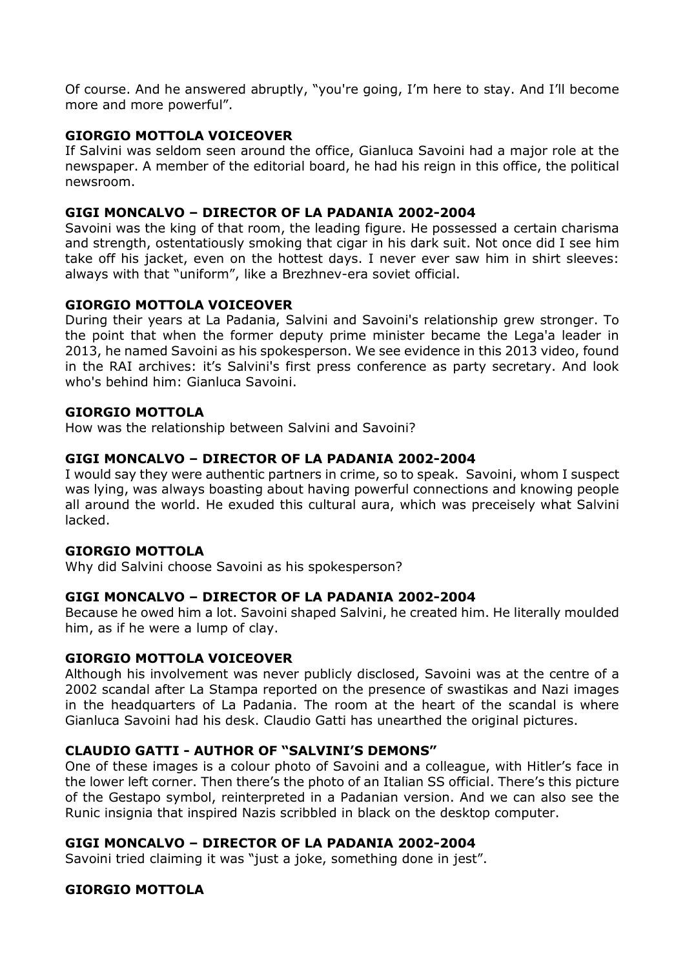Of course. And he answered abruptly, "you're going, I'm here to stay. And I'll become more and more powerful".

# GIORGIO MOTTOLA VOICEOVER

If Salvini was seldom seen around the office, Gianluca Savoini had a major role at the newspaper. A member of the editorial board, he had his reign in this office, the political newsroom.

# GIGI MONCALVO – DIRECTOR OF LA PADANIA 2002-2004

Savoini was the king of that room, the leading figure. He possessed a certain charisma and strength, ostentatiously smoking that cigar in his dark suit. Not once did I see him take off his jacket, even on the hottest days. I never ever saw him in shirt sleeves: always with that "uniform", like a Brezhnev-era soviet official.

# GIORGIO MOTTOLA VOICEOVER

During their years at La Padania, Salvini and Savoini's relationship grew stronger. To the point that when the former deputy prime minister became the Lega'a leader in 2013, he named Savoini as his spokesperson. We see evidence in this 2013 video, found in the RAI archives: it's Salvini's first press conference as party secretary. And look who's behind him: Gianluca Savoini.

# GIORGIO MOTTOLA

How was the relationship between Salvini and Savoini?

# GIGI MONCALVO – DIRECTOR OF LA PADANIA 2002-2004

I would say they were authentic partners in crime, so to speak. Savoini, whom I suspect was lying, was always boasting about having powerful connections and knowing people all around the world. He exuded this cultural aura, which was preceisely what Salvini lacked.

#### GIORGIO MOTTOLA

Why did Salvini choose Savoini as his spokesperson?

#### GIGI MONCALVO – DIRECTOR OF LA PADANIA 2002-2004

Because he owed him a lot. Savoini shaped Salvini, he created him. He literally moulded him, as if he were a lump of clay.

#### GIORGIO MOTTOLA VOICEOVER

Although his involvement was never publicly disclosed, Savoini was at the centre of a 2002 scandal after La Stampa reported on the presence of swastikas and Nazi images in the headquarters of La Padania. The room at the heart of the scandal is where Gianluca Savoini had his desk. Claudio Gatti has unearthed the original pictures.

# CLAUDIO GATTI - AUTHOR OF "SALVINI'S DEMONS"

One of these images is a colour photo of Savoini and a colleague, with Hitler's face in the lower left corner. Then there's the photo of an Italian SS official. There's this picture of the Gestapo symbol, reinterpreted in a Padanian version. And we can also see the Runic insignia that inspired Nazis scribbled in black on the desktop computer.

# GIGI MONCALVO – DIRECTOR OF LA PADANIA 2002-2004

Savoini tried claiming it was "just a joke, something done in jest".

# GIORGIO MOTTOLA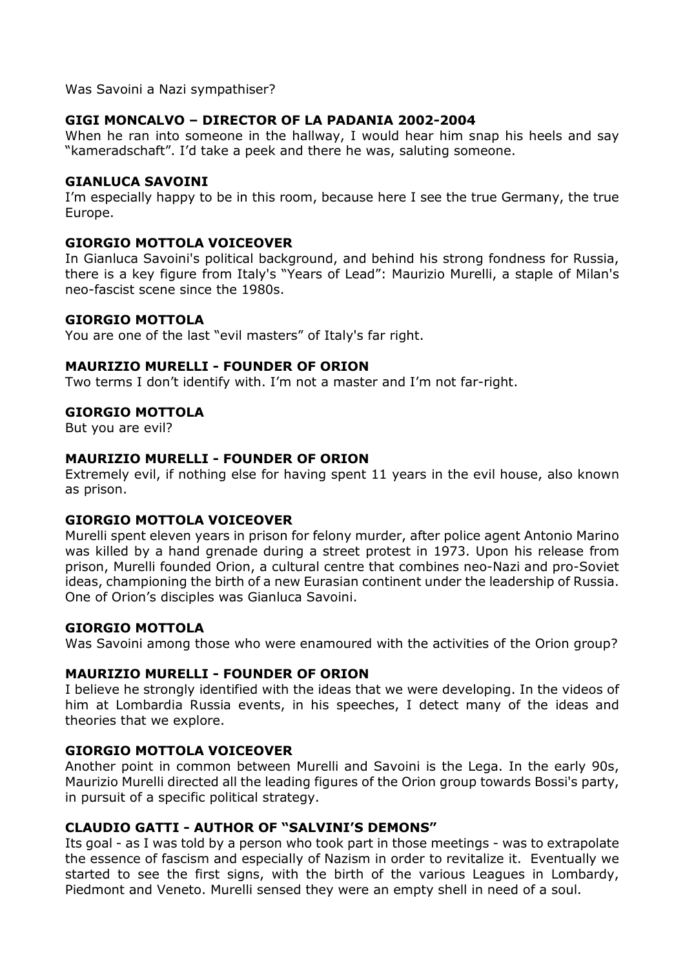Was Savoini a Nazi sympathiser?

# GIGI MONCALVO – DIRECTOR OF LA PADANIA 2002-2004

When he ran into someone in the hallway, I would hear him snap his heels and say "kameradschaft". I'd take a peek and there he was, saluting someone.

#### GIANLUCA SAVOINI

I'm especially happy to be in this room, because here I see the true Germany, the true Europe.

#### GIORGIO MOTTOLA VOICEOVER

In Gianluca Savoini's political background, and behind his strong fondness for Russia, there is a key figure from Italy's "Years of Lead": Maurizio Murelli, a staple of Milan's neo-fascist scene since the 1980s.

#### GIORGIO MOTTOLA

You are one of the last "evil masters" of Italy's far right.

#### MAURIZIO MURELLI - FOUNDER OF ORION

Two terms I don't identify with. I'm not a master and I'm not far-right.

# GIORGIO MOTTOLA

But you are evil?

#### MAURIZIO MURELLI - FOUNDER OF ORION

Extremely evil, if nothing else for having spent 11 years in the evil house, also known as prison.

#### GIORGIO MOTTOLA VOICEOVER

Murelli spent eleven years in prison for felony murder, after police agent Antonio Marino was killed by a hand grenade during a street protest in 1973. Upon his release from prison, Murelli founded Orion, a cultural centre that combines neo-Nazi and pro-Soviet ideas, championing the birth of a new Eurasian continent under the leadership of Russia. One of Orion's disciples was Gianluca Savoini.

#### GIORGIO MOTTOLA

Was Savoini among those who were enamoured with the activities of the Orion group?

#### MAURIZIO MURELLI - FOUNDER OF ORION

I believe he strongly identified with the ideas that we were developing. In the videos of him at Lombardia Russia events, in his speeches, I detect many of the ideas and theories that we explore.

#### GIORGIO MOTTOLA VOICEOVER

Another point in common between Murelli and Savoini is the Lega. In the early 90s, Maurizio Murelli directed all the leading figures of the Orion group towards Bossi's party, in pursuit of a specific political strategy.

#### CLAUDIO GATTI - AUTHOR OF "SALVINI'S DEMONS"

Its goal - as I was told by a person who took part in those meetings - was to extrapolate the essence of fascism and especially of Nazism in order to revitalize it. Eventually we started to see the first signs, with the birth of the various Leagues in Lombardy, Piedmont and Veneto. Murelli sensed they were an empty shell in need of a soul.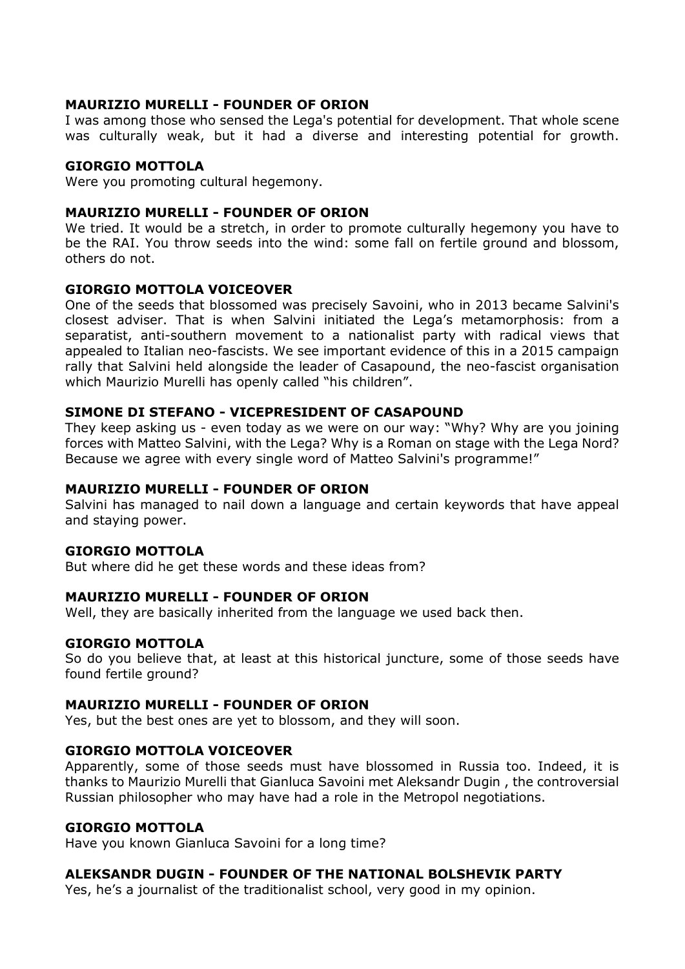# MAURIZIO MURELLI - FOUNDER OF ORION

I was among those who sensed the Lega's potential for development. That whole scene was culturally weak, but it had a diverse and interesting potential for growth.

# GIORGIO MOTTOLA

Were you promoting cultural hegemony.

#### MAURIZIO MURELLI - FOUNDER OF ORION

We tried. It would be a stretch, in order to promote culturally hegemony you have to be the RAI. You throw seeds into the wind: some fall on fertile ground and blossom, others do not.

# GIORGIO MOTTOLA VOICEOVER

One of the seeds that blossomed was precisely Savoini, who in 2013 became Salvini's closest adviser. That is when Salvini initiated the Lega's metamorphosis: from a separatist, anti-southern movement to a nationalist party with radical views that appealed to Italian neo-fascists. We see important evidence of this in a 2015 campaign rally that Salvini held alongside the leader of Casapound, the neo-fascist organisation which Maurizio Murelli has openly called "his children".

#### SIMONE DI STEFANO - VICEPRESIDENT OF CASAPOUND

They keep asking us - even today as we were on our way: "Why? Why are you joining forces with Matteo Salvini, with the Lega? Why is a Roman on stage with the Lega Nord? Because we agree with every single word of Matteo Salvini's programme!"

#### MAURIZIO MURELLI - FOUNDER OF ORION

Salvini has managed to nail down a language and certain keywords that have appeal and staying power.

#### GIORGIO MOTTOLA

But where did he get these words and these ideas from?

#### MAURIZIO MURELLI - FOUNDER OF ORION

Well, they are basically inherited from the language we used back then.

# GIORGIO MOTTOLA

So do you believe that, at least at this historical juncture, some of those seeds have found fertile ground?

#### MAURIZIO MURELLI - FOUNDER OF ORION

Yes, but the best ones are yet to blossom, and they will soon.

#### GIORGIO MOTTOLA VOICEOVER

Apparently, some of those seeds must have blossomed in Russia too. Indeed, it is thanks to Maurizio Murelli that Gianluca Savoini met Aleksandr Dugin , the controversial Russian philosopher who may have had a role in the Metropol negotiations.

# GIORGIO MOTTOLA

Have you known Gianluca Savoini for a long time?

#### ALEKSANDR DUGIN - FOUNDER OF THE NATIONAL BOLSHEVIK PARTY

Yes, he's a journalist of the traditionalist school, very good in my opinion.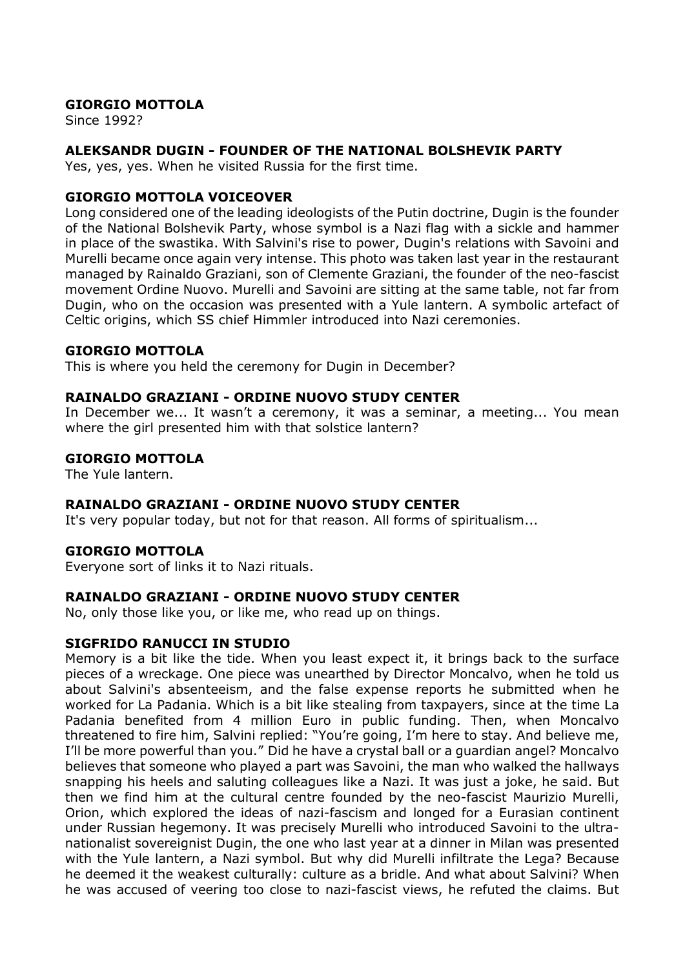Since 1992?

# ALEKSANDR DUGIN - FOUNDER OF THE NATIONAL BOLSHEVIK PARTY

Yes, yes, yes. When he visited Russia for the first time.

# GIORGIO MOTTOLA VOICEOVER

Long considered one of the leading ideologists of the Putin doctrine, Dugin is the founder of the National Bolshevik Party, whose symbol is a Nazi flag with a sickle and hammer in place of the swastika. With Salvini's rise to power, Dugin's relations with Savoini and Murelli became once again very intense. This photo was taken last year in the restaurant managed by Rainaldo Graziani, son of Clemente Graziani, the founder of the neo-fascist movement Ordine Nuovo. Murelli and Savoini are sitting at the same table, not far from Dugin, who on the occasion was presented with a Yule lantern. A symbolic artefact of Celtic origins, which SS chief Himmler introduced into Nazi ceremonies.

# GIORGIO MOTTOLA

This is where you held the ceremony for Dugin in December?

# RAINALDO GRAZIANI - ORDINE NUOVO STUDY CENTER

In December we... It wasn't a ceremony, it was a seminar, a meeting... You mean where the girl presented him with that solstice lantern?

# GIORGIO MOTTOLA

The Yule lantern.

# RAINALDO GRAZIANI - ORDINE NUOVO STUDY CENTER

It's very popular today, but not for that reason. All forms of spiritualism...

#### GIORGIO MOTTOLA

Everyone sort of links it to Nazi rituals.

# RAINALDO GRAZIANI - ORDINE NUOVO STUDY CENTER

No, only those like you, or like me, who read up on things.

# SIGFRIDO RANUCCI IN STUDIO

Memory is a bit like the tide. When you least expect it, it brings back to the surface pieces of a wreckage. One piece was unearthed by Director Moncalvo, when he told us about Salvini's absenteeism, and the false expense reports he submitted when he worked for La Padania. Which is a bit like stealing from taxpayers, since at the time La Padania benefited from 4 million Euro in public funding. Then, when Moncalvo threatened to fire him, Salvini replied: "You're going, I'm here to stay. And believe me, I'll be more powerful than you." Did he have a crystal ball or a guardian angel? Moncalvo believes that someone who played a part was Savoini, the man who walked the hallways snapping his heels and saluting colleagues like a Nazi. It was just a joke, he said. But then we find him at the cultural centre founded by the neo-fascist Maurizio Murelli, Orion, which explored the ideas of nazi-fascism and longed for a Eurasian continent under Russian hegemony. It was precisely Murelli who introduced Savoini to the ultranationalist sovereignist Dugin, the one who last year at a dinner in Milan was presented with the Yule lantern, a Nazi symbol. But why did Murelli infiltrate the Lega? Because he deemed it the weakest culturally: culture as a bridle. And what about Salvini? When he was accused of veering too close to nazi-fascist views, he refuted the claims. But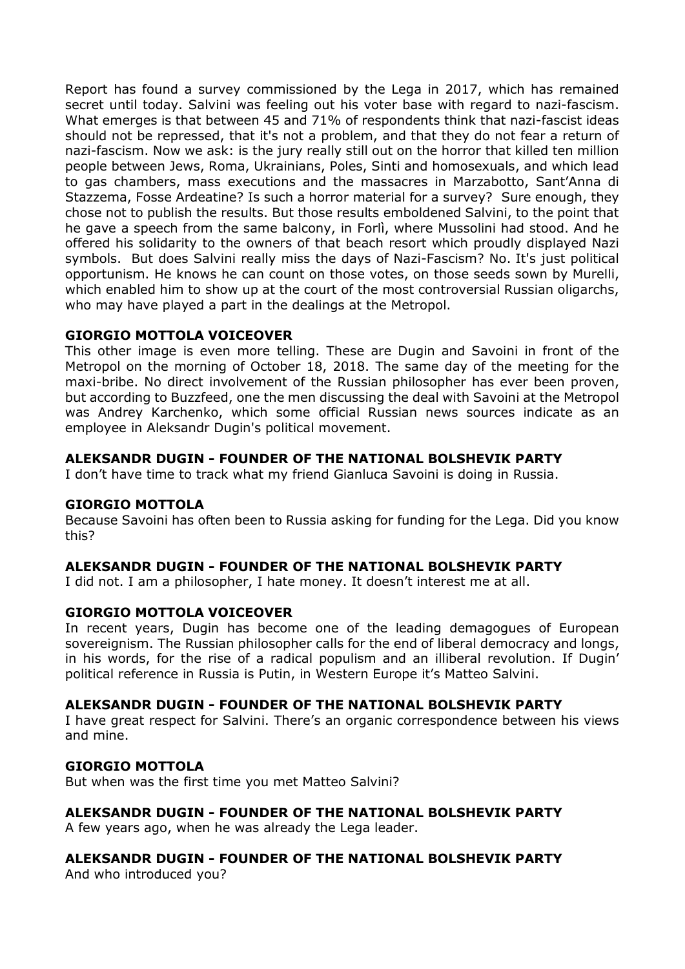Report has found a survey commissioned by the Lega in 2017, which has remained secret until today. Salvini was feeling out his voter base with regard to nazi-fascism. What emerges is that between 45 and 71% of respondents think that nazi-fascist ideas should not be repressed, that it's not a problem, and that they do not fear a return of nazi-fascism. Now we ask: is the jury really still out on the horror that killed ten million people between Jews, Roma, Ukrainians, Poles, Sinti and homosexuals, and which lead to gas chambers, mass executions and the massacres in Marzabotto, Sant'Anna di Stazzema, Fosse Ardeatine? Is such a horror material for a survey? Sure enough, they chose not to publish the results. But those results emboldened Salvini, to the point that he gave a speech from the same balcony, in Forlì, where Mussolini had stood. And he offered his solidarity to the owners of that beach resort which proudly displayed Nazi symbols. But does Salvini really miss the days of Nazi-Fascism? No. It's just political opportunism. He knows he can count on those votes, on those seeds sown by Murelli, which enabled him to show up at the court of the most controversial Russian oligarchs, who may have played a part in the dealings at the Metropol.

# GIORGIO MOTTOLA VOICEOVER

This other image is even more telling. These are Dugin and Savoini in front of the Metropol on the morning of October 18, 2018. The same day of the meeting for the maxi-bribe. No direct involvement of the Russian philosopher has ever been proven, but according to Buzzfeed, one the men discussing the deal with Savoini at the Metropol was Andrey Karchenko, which some official Russian news sources indicate as an employee in Aleksandr Dugin's political movement.

# ALEKSANDR DUGIN - FOUNDER OF THE NATIONAL BOLSHEVIK PARTY

I don't have time to track what my friend Gianluca Savoini is doing in Russia.

#### GIORGIO MOTTOLA

Because Savoini has often been to Russia asking for funding for the Lega. Did you know this?

#### ALEKSANDR DUGIN - FOUNDER OF THE NATIONAL BOLSHEVIK PARTY

I did not. I am a philosopher, I hate money. It doesn't interest me at all.

#### GIORGIO MOTTOLA VOICEOVER

In recent years, Dugin has become one of the leading demagogues of European sovereignism. The Russian philosopher calls for the end of liberal democracy and longs, in his words, for the rise of a radical populism and an illiberal revolution. If Dugin' political reference in Russia is Putin, in Western Europe it's Matteo Salvini.

#### ALEKSANDR DUGIN - FOUNDER OF THE NATIONAL BOLSHEVIK PARTY

I have great respect for Salvini. There's an organic correspondence between his views and mine.

# GIORGIO MOTTOLA

But when was the first time you met Matteo Salvini?

#### ALEKSANDR DUGIN - FOUNDER OF THE NATIONAL BOLSHEVIK PARTY

A few years ago, when he was already the Lega leader.

# ALEKSANDR DUGIN - FOUNDER OF THE NATIONAL BOLSHEVIK PARTY

And who introduced you?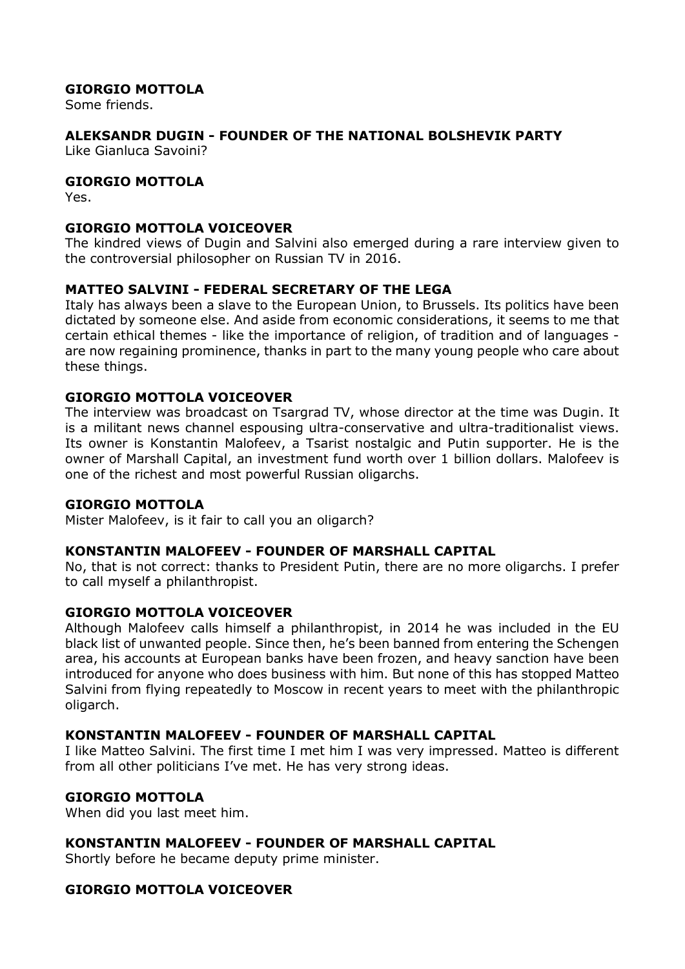Some friends.

# ALEKSANDR DUGIN - FOUNDER OF THE NATIONAL BOLSHEVIK PARTY

Like Gianluca Savoini?

# GIORGIO MOTTOLA

Yes.

# GIORGIO MOTTOLA VOICEOVER

The kindred views of Dugin and Salvini also emerged during a rare interview given to the controversial philosopher on Russian TV in 2016.

# MATTEO SALVINI - FEDERAL SECRETARY OF THE LEGA

Italy has always been a slave to the European Union, to Brussels. Its politics have been dictated by someone else. And aside from economic considerations, it seems to me that certain ethical themes - like the importance of religion, of tradition and of languages are now regaining prominence, thanks in part to the many young people who care about these things.

# GIORGIO MOTTOLA VOICEOVER

The interview was broadcast on Tsargrad TV, whose director at the time was Dugin. It is a militant news channel espousing ultra-conservative and ultra-traditionalist views. Its owner is Konstantin Malofeev, a Tsarist nostalgic and Putin supporter. He is the owner of Marshall Capital, an investment fund worth over 1 billion dollars. Malofeev is one of the richest and most powerful Russian oligarchs.

#### GIORGIO MOTTOLA

Mister Malofeev, is it fair to call you an oligarch?

#### KONSTANTIN MALOFEEV - FOUNDER OF MARSHALL CAPITAL

No, that is not correct: thanks to President Putin, there are no more oligarchs. I prefer to call myself a philanthropist.

#### GIORGIO MOTTOLA VOICEOVER

Although Malofeev calls himself a philanthropist, in 2014 he was included in the EU black list of unwanted people. Since then, he's been banned from entering the Schengen area, his accounts at European banks have been frozen, and heavy sanction have been introduced for anyone who does business with him. But none of this has stopped Matteo Salvini from flying repeatedly to Moscow in recent years to meet with the philanthropic oligarch.

#### KONSTANTIN MALOFEEV - FOUNDER OF MARSHALL CAPITAL

I like Matteo Salvini. The first time I met him I was very impressed. Matteo is different from all other politicians I've met. He has very strong ideas.

#### GIORGIO MOTTOLA

When did you last meet him.

# KONSTANTIN MALOFEEV - FOUNDER OF MARSHALL CAPITAL

Shortly before he became deputy prime minister.

# GIORGIO MOTTOLA VOICEOVER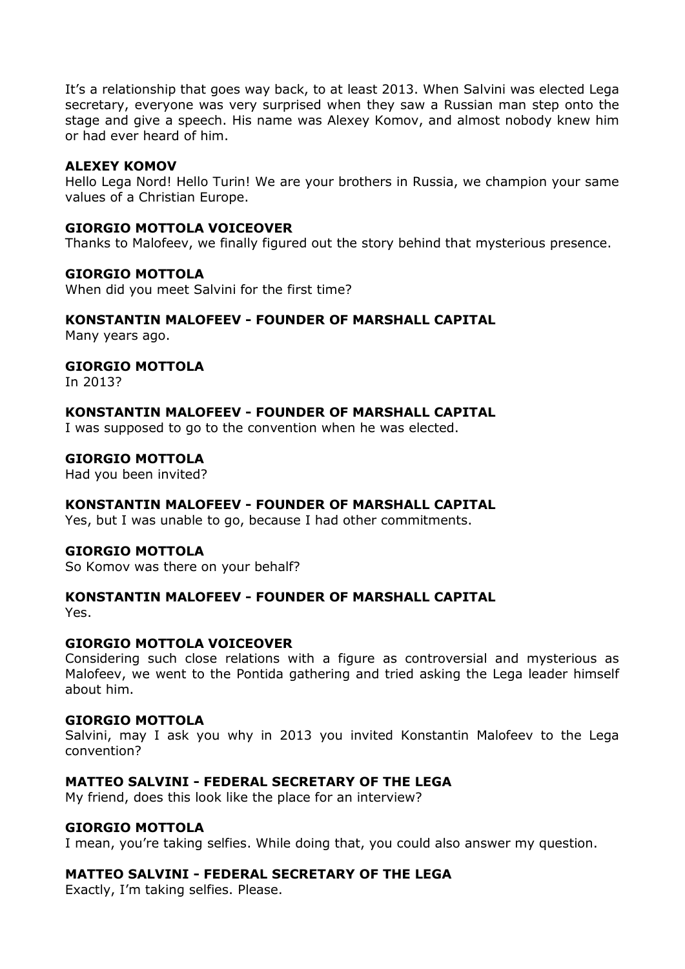It's a relationship that goes way back, to at least 2013. When Salvini was elected Lega secretary, everyone was very surprised when they saw a Russian man step onto the stage and give a speech. His name was Alexey Komov, and almost nobody knew him or had ever heard of him.

#### ALEXEY KOMOV

Hello Lega Nord! Hello Turin! We are your brothers in Russia, we champion your same values of a Christian Europe.

#### GIORGIO MOTTOLA VOICEOVER

Thanks to Malofeev, we finally figured out the story behind that mysterious presence.

# GIORGIO MOTTOLA

When did you meet Salvini for the first time?

#### KONSTANTIN MALOFEEV - FOUNDER OF MARSHALL CAPITAL

Many years ago.

# GIORGIO MOTTOLA

In 2013?

#### KONSTANTIN MALOFEEV - FOUNDER OF MARSHALL CAPITAL

I was supposed to go to the convention when he was elected.

#### GIORGIO MOTTOLA

Had you been invited?

#### KONSTANTIN MALOFEEV - FOUNDER OF MARSHALL CAPITAL

Yes, but I was unable to go, because I had other commitments.

#### GIORGIO MOTTOLA

So Komov was there on your behalf?

# KONSTANTIN MALOFEEV - FOUNDER OF MARSHALL CAPITAL

Yes.

#### GIORGIO MOTTOLA VOICEOVER

Considering such close relations with a figure as controversial and mysterious as Malofeev, we went to the Pontida gathering and tried asking the Lega leader himself about him.

#### GIORGIO MOTTOLA

Salvini, may I ask you why in 2013 you invited Konstantin Malofeev to the Lega convention?

# MATTEO SALVINI - FEDERAL SECRETARY OF THE LEGA

My friend, does this look like the place for an interview?

#### GIORGIO MOTTOLA

I mean, you're taking selfies. While doing that, you could also answer my question.

#### MATTEO SALVINI - FEDERAL SECRETARY OF THE LEGA

Exactly, I'm taking selfies. Please.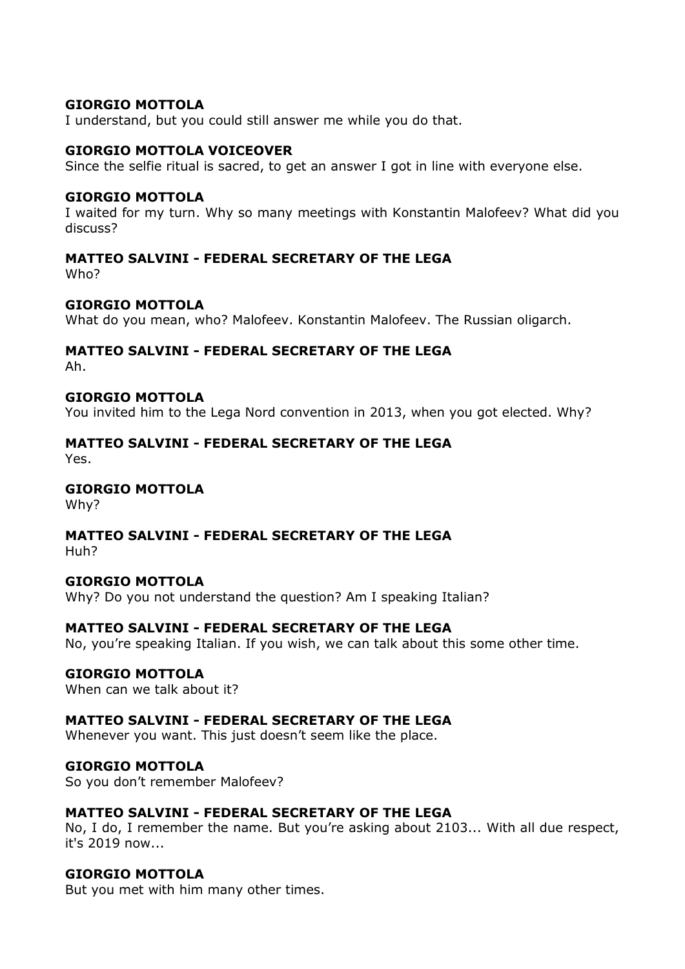I understand, but you could still answer me while you do that.

#### GIORGIO MOTTOLA VOICEOVER

Since the selfie ritual is sacred, to get an answer I got in line with everyone else.

#### GIORGIO MOTTOLA

I waited for my turn. Why so many meetings with Konstantin Malofeev? What did you discuss?

#### MATTEO SALVINI - FEDERAL SECRETARY OF THE LEGA Who?

#### GIORGIO MOTTOLA

What do you mean, who? Malofeev. Konstantin Malofeev. The Russian oligarch.

#### MATTEO SALVINI - FEDERAL SECRETARY OF THE LEGA Ah.

#### GIORGIO MOTTOLA

You invited him to the Lega Nord convention in 2013, when you got elected. Why?

# MATTEO SALVINI - FEDERAL SECRETARY OF THE LEGA

Yes.

# GIORGIO MOTTOLA

Why?

# MATTEO SALVINI - FEDERAL SECRETARY OF THE LEGA

Huh?

#### GIORGIO MOTTOLA

Why? Do you not understand the question? Am I speaking Italian?

#### MATTEO SALVINI - FEDERAL SECRETARY OF THE LEGA

No, you're speaking Italian. If you wish, we can talk about this some other time.

#### GIORGIO MOTTOLA

When can we talk about it?

#### MATTEO SALVINI - FEDERAL SECRETARY OF THE LEGA

Whenever you want. This just doesn't seem like the place.

#### GIORGIO MOTTOLA

So you don't remember Malofeev?

#### MATTEO SALVINI - FEDERAL SECRETARY OF THE LEGA

No, I do, I remember the name. But you're asking about 2103... With all due respect, it's 2019 now...

#### GIORGIO MOTTOLA

But you met with him many other times.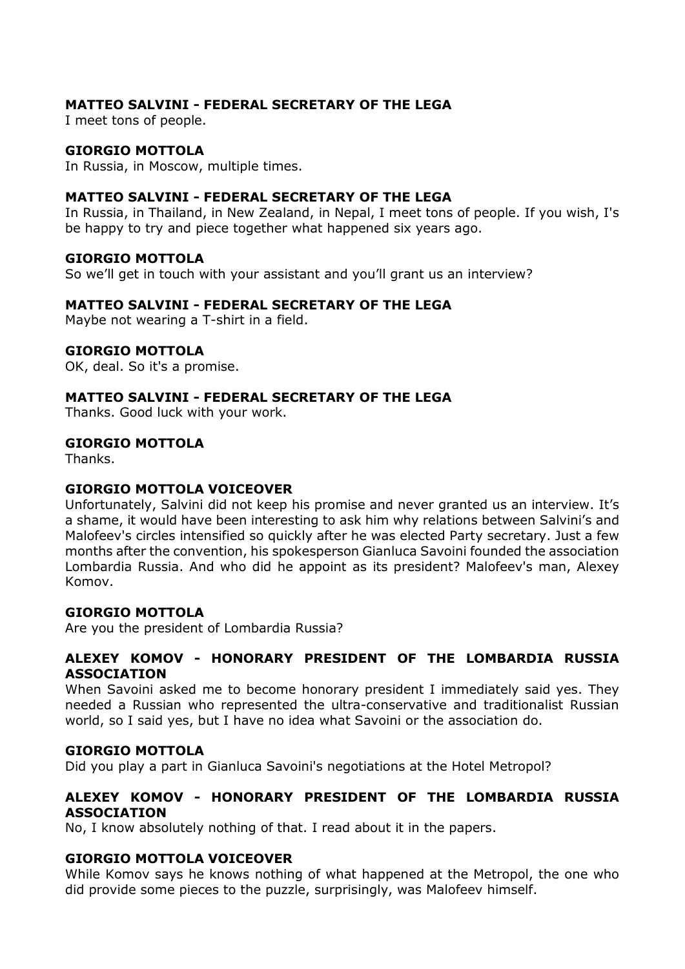# MATTEO SALVINI - FEDERAL SECRETARY OF THE LEGA

I meet tons of people.

#### GIORGIO MOTTOLA

In Russia, in Moscow, multiple times.

# MATTEO SALVINI - FEDERAL SECRETARY OF THE LEGA

In Russia, in Thailand, in New Zealand, in Nepal, I meet tons of people. If you wish, I's be happy to try and piece together what happened six years ago.

#### GIORGIO MOTTOLA

So we'll get in touch with your assistant and you'll grant us an interview?

# MATTEO SALVINI - FEDERAL SECRETARY OF THE LEGA

Maybe not wearing a T-shirt in a field.

#### GIORGIO MOTTOLA

OK, deal. So it's a promise.

# MATTEO SALVINI - FEDERAL SECRETARY OF THE LEGA

Thanks. Good luck with your work.

#### GIORGIO MOTTOLA

Thanks.

#### GIORGIO MOTTOLA VOICEOVER

Unfortunately, Salvini did not keep his promise and never granted us an interview. It's a shame, it would have been interesting to ask him why relations between Salvini's and Malofeev's circles intensified so quickly after he was elected Party secretary. Just a few months after the convention, his spokesperson Gianluca Savoini founded the association Lombardia Russia. And who did he appoint as its president? Malofeev's man, Alexey Komov.

#### GIORGIO MOTTOLA

Are you the president of Lombardia Russia?

#### ALEXEY KOMOV - HONORARY PRESIDENT OF THE LOMBARDIA RUSSIA ASSOCIATION

When Savoini asked me to become honorary president I immediately said yes. They needed a Russian who represented the ultra-conservative and traditionalist Russian world, so I said yes, but I have no idea what Savoini or the association do.

#### GIORGIO MOTTOLA

Did you play a part in Gianluca Savoini's negotiations at the Hotel Metropol?

# ALEXEY KOMOV - HONORARY PRESIDENT OF THE LOMBARDIA RUSSIA ASSOCIATION

No, I know absolutely nothing of that. I read about it in the papers.

#### GIORGIO MOTTOLA VOICEOVER

While Komov says he knows nothing of what happened at the Metropol, the one who did provide some pieces to the puzzle, surprisingly, was Malofeev himself.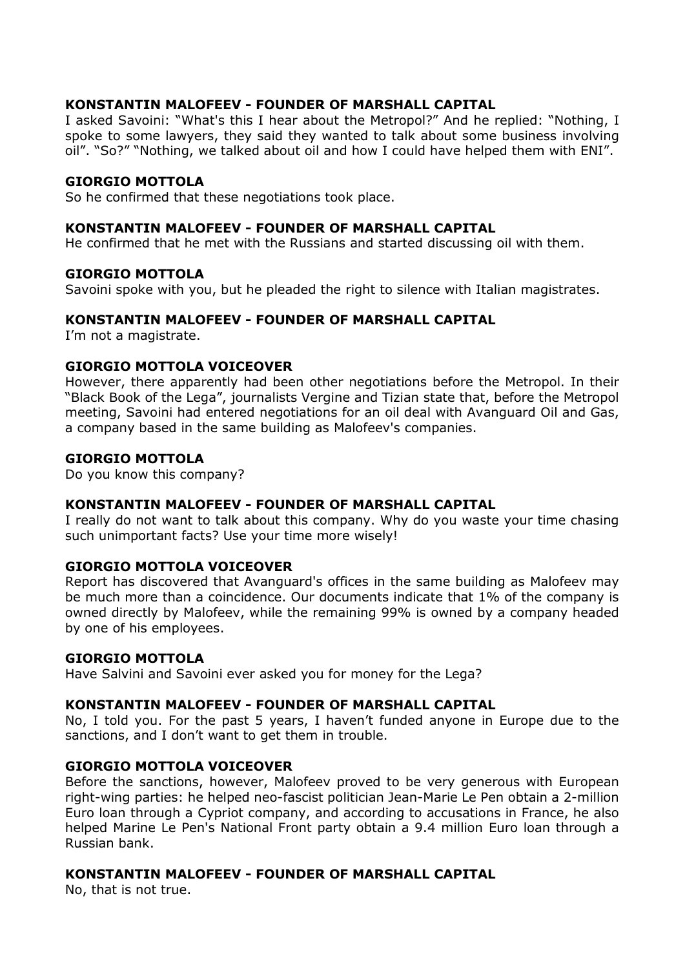# KONSTANTIN MALOFEEV - FOUNDER OF MARSHALL CAPITAL

I asked Savoini: "What's this I hear about the Metropol?" And he replied: "Nothing, I spoke to some lawyers, they said they wanted to talk about some business involving oil". "So?" "Nothing, we talked about oil and how I could have helped them with ENI".

#### GIORGIO MOTTOLA

So he confirmed that these negotiations took place.

#### KONSTANTIN MALOFEEV - FOUNDER OF MARSHALL CAPITAL

He confirmed that he met with the Russians and started discussing oil with them.

#### GIORGIO MOTTOLA

Savoini spoke with you, but he pleaded the right to silence with Italian magistrates.

#### KONSTANTIN MALOFEEV - FOUNDER OF MARSHALL CAPITAL

I'm not a magistrate.

#### GIORGIO MOTTOLA VOICEOVER

However, there apparently had been other negotiations before the Metropol. In their "Black Book of the Lega", journalists Vergine and Tizian state that, before the Metropol meeting, Savoini had entered negotiations for an oil deal with Avanguard Oil and Gas, a company based in the same building as Malofeev's companies.

#### GIORGIO MOTTOLA

Do you know this company?

#### KONSTANTIN MALOFEEV - FOUNDER OF MARSHALL CAPITAL

I really do not want to talk about this company. Why do you waste your time chasing such unimportant facts? Use your time more wisely!

#### GIORGIO MOTTOLA VOICEOVER

Report has discovered that Avanguard's offices in the same building as Malofeev may be much more than a coincidence. Our documents indicate that 1% of the company is owned directly by Malofeev, while the remaining 99% is owned by a company headed by one of his employees.

#### GIORGIO MOTTOLA

Have Salvini and Savoini ever asked you for money for the Lega?

#### KONSTANTIN MALOFEEV - FOUNDER OF MARSHALL CAPITAL

No, I told you. For the past 5 years, I haven't funded anyone in Europe due to the sanctions, and I don't want to get them in trouble.

#### GIORGIO MOTTOLA VOICEOVER

Before the sanctions, however, Malofeev proved to be very generous with European right-wing parties: he helped neo-fascist politician Jean-Marie Le Pen obtain a 2-million Euro loan through a Cypriot company, and according to accusations in France, he also helped Marine Le Pen's National Front party obtain a 9.4 million Euro loan through a Russian bank.

#### KONSTANTIN MALOFEEV - FOUNDER OF MARSHALL CAPITAL

No, that is not true.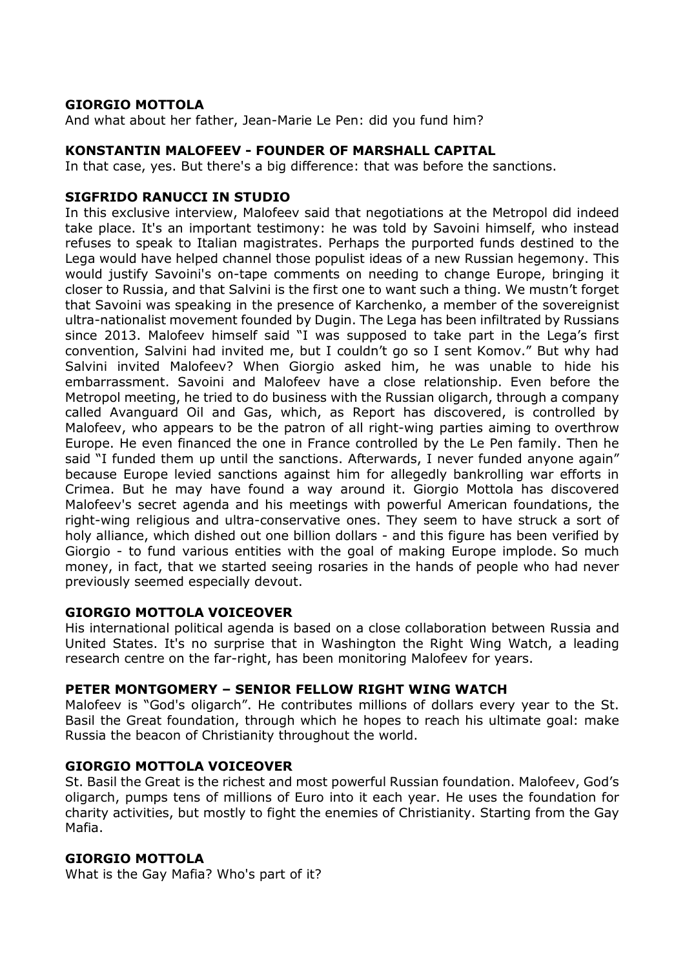And what about her father, Jean-Marie Le Pen: did you fund him?

# KONSTANTIN MALOFEEV - FOUNDER OF MARSHALL CAPITAL

In that case, yes. But there's a big difference: that was before the sanctions.

# SIGFRIDO RANUCCI IN STUDIO

In this exclusive interview, Malofeev said that negotiations at the Metropol did indeed take place. It's an important testimony: he was told by Savoini himself, who instead refuses to speak to Italian magistrates. Perhaps the purported funds destined to the Lega would have helped channel those populist ideas of a new Russian hegemony. This would justify Savoini's on-tape comments on needing to change Europe, bringing it closer to Russia, and that Salvini is the first one to want such a thing. We mustn't forget that Savoini was speaking in the presence of Karchenko, a member of the sovereignist ultra-nationalist movement founded by Dugin. The Lega has been infiltrated by Russians since 2013. Malofeev himself said "I was supposed to take part in the Lega's first convention, Salvini had invited me, but I couldn't go so I sent Komov." But why had Salvini invited Malofeev? When Giorgio asked him, he was unable to hide his embarrassment. Savoini and Malofeev have a close relationship. Even before the Metropol meeting, he tried to do business with the Russian oligarch, through a company called Avanguard Oil and Gas, which, as Report has discovered, is controlled by Malofeev, who appears to be the patron of all right-wing parties aiming to overthrow Europe. He even financed the one in France controlled by the Le Pen family. Then he said "I funded them up until the sanctions. Afterwards, I never funded anyone again" because Europe levied sanctions against him for allegedly bankrolling war efforts in Crimea. But he may have found a way around it. Giorgio Mottola has discovered Malofeev's secret agenda and his meetings with powerful American foundations, the right-wing religious and ultra-conservative ones. They seem to have struck a sort of holy alliance, which dished out one billion dollars - and this figure has been verified by Giorgio - to fund various entities with the goal of making Europe implode. So much money, in fact, that we started seeing rosaries in the hands of people who had never previously seemed especially devout.

# GIORGIO MOTTOLA VOICEOVER

His international political agenda is based on a close collaboration between Russia and United States. It's no surprise that in Washington the Right Wing Watch, a leading research centre on the far-right, has been monitoring Malofeev for years.

# PETER MONTGOMERY – SENIOR FELLOW RIGHT WING WATCH

Malofeev is "God's oligarch". He contributes millions of dollars every year to the St. Basil the Great foundation, through which he hopes to reach his ultimate goal: make Russia the beacon of Christianity throughout the world.

#### GIORGIO MOTTOLA VOICEOVER

St. Basil the Great is the richest and most powerful Russian foundation. Malofeev, God's oligarch, pumps tens of millions of Euro into it each year. He uses the foundation for charity activities, but mostly to fight the enemies of Christianity. Starting from the Gay Mafia.

#### GIORGIO MOTTOLA

What is the Gay Mafia? Who's part of it?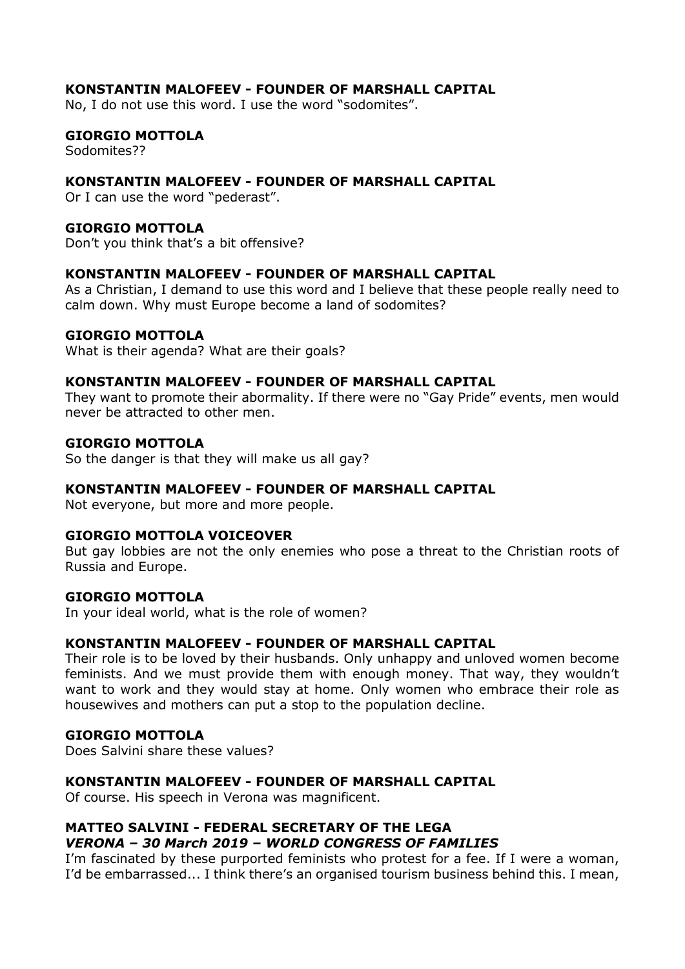# KONSTANTIN MALOFEEV - FOUNDER OF MARSHALL CAPITAL

No, I do not use this word. I use the word "sodomites".

# GIORGIO MOTTOLA

Sodomites??

# KONSTANTIN MALOFEEV - FOUNDER OF MARSHALL CAPITAL

Or I can use the word "pederast".

#### GIORGIO MOTTOLA

Don't you think that's a bit offensive?

# KONSTANTIN MALOFEEV - FOUNDER OF MARSHALL CAPITAL

As a Christian, I demand to use this word and I believe that these people really need to calm down. Why must Europe become a land of sodomites?

#### GIORGIO MOTTOLA

What is their agenda? What are their goals?

#### KONSTANTIN MALOFEEV - FOUNDER OF MARSHALL CAPITAL

They want to promote their abormality. If there were no "Gay Pride" events, men would never be attracted to other men.

#### GIORGIO MOTTOLA

So the danger is that they will make us all gay?

#### KONSTANTIN MALOFEEV - FOUNDER OF MARSHALL CAPITAL

Not everyone, but more and more people.

#### GIORGIO MOTTOLA VOICEOVER

But gay lobbies are not the only enemies who pose a threat to the Christian roots of Russia and Europe.

#### GIORGIO MOTTOLA

In your ideal world, what is the role of women?

#### KONSTANTIN MALOFEEV - FOUNDER OF MARSHALL CAPITAL

Their role is to be loved by their husbands. Only unhappy and unloved women become feminists. And we must provide them with enough money. That way, they wouldn't want to work and they would stay at home. Only women who embrace their role as housewives and mothers can put a stop to the population decline.

#### GIORGIO MOTTOLA

Does Salvini share these values?

#### KONSTANTIN MALOFEEV - FOUNDER OF MARSHALL CAPITAL

Of course. His speech in Verona was magnificent.

#### MATTEO SALVINI - FEDERAL SECRETARY OF THE LEGA VERONA – 30 March 2019 – WORLD CONGRESS OF FAMILIES

I'm fascinated by these purported feminists who protest for a fee. If I were a woman, I'd be embarrassed... I think there's an organised tourism business behind this. I mean,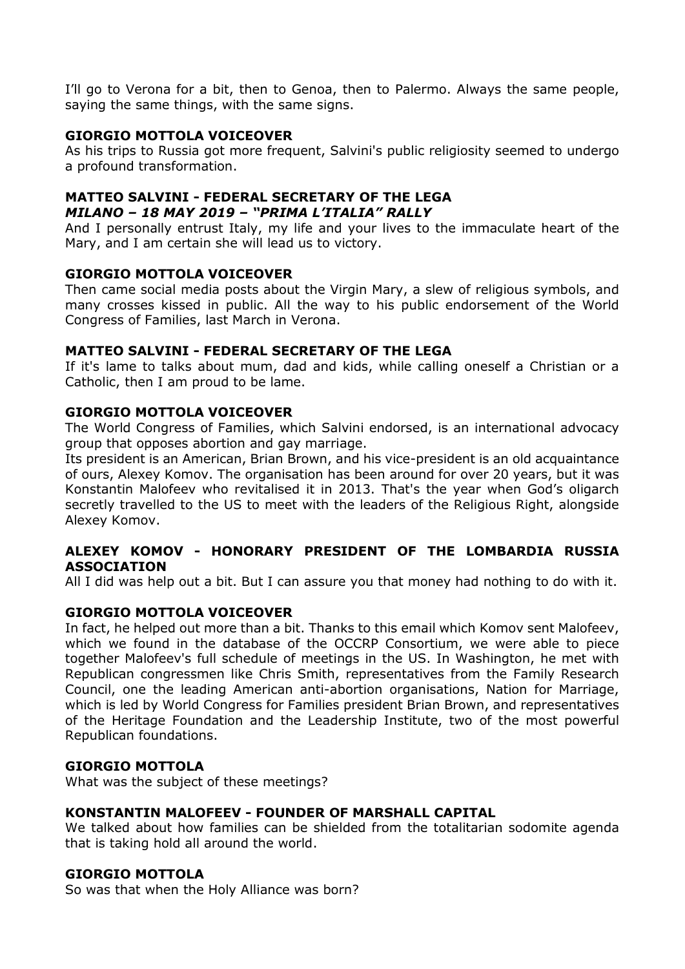I'll go to Verona for a bit, then to Genoa, then to Palermo. Always the same people, saying the same things, with the same signs.

# GIORGIO MOTTOLA VOICEOVER

As his trips to Russia got more frequent, Salvini's public religiosity seemed to undergo a profound transformation.

# MATTEO SALVINI - FEDERAL SECRETARY OF THE LEGA MILANO – 18 MAY 2019 – "PRIMA L'ITALIA" RALLY

And I personally entrust Italy, my life and your lives to the immaculate heart of the Mary, and I am certain she will lead us to victory.

#### GIORGIO MOTTOLA VOICEOVER

Then came social media posts about the Virgin Mary, a slew of religious symbols, and many crosses kissed in public. All the way to his public endorsement of the World Congress of Families, last March in Verona.

# MATTEO SALVINI - FEDERAL SECRETARY OF THE LEGA

If it's lame to talks about mum, dad and kids, while calling oneself a Christian or a Catholic, then I am proud to be lame.

# GIORGIO MOTTOLA VOICEOVER

The World Congress of Families, which Salvini endorsed, is an international advocacy group that opposes abortion and gay marriage.

Its president is an American, Brian Brown, and his vice-president is an old acquaintance of ours, Alexey Komov. The organisation has been around for over 20 years, but it was Konstantin Malofeev who revitalised it in 2013. That's the year when God's oligarch secretly travelled to the US to meet with the leaders of the Religious Right, alongside Alexey Komov.

# ALEXEY KOMOV - HONORARY PRESIDENT OF THE LOMBARDIA RUSSIA ASSOCIATION

All I did was help out a bit. But I can assure you that money had nothing to do with it.

# GIORGIO MOTTOLA VOICEOVER

In fact, he helped out more than a bit. Thanks to this email which Komov sent Malofeev, which we found in the database of the OCCRP Consortium, we were able to piece together Malofeev's full schedule of meetings in the US. In Washington, he met with Republican congressmen like Chris Smith, representatives from the Family Research Council, one the leading American anti-abortion organisations, Nation for Marriage, which is led by World Congress for Families president Brian Brown, and representatives of the Heritage Foundation and the Leadership Institute, two of the most powerful Republican foundations.

#### GIORGIO MOTTOLA

What was the subject of these meetings?

#### KONSTANTIN MALOFEEV - FOUNDER OF MARSHALL CAPITAL

We talked about how families can be shielded from the totalitarian sodomite agenda that is taking hold all around the world.

#### GIORGIO MOTTOLA

So was that when the Holy Alliance was born?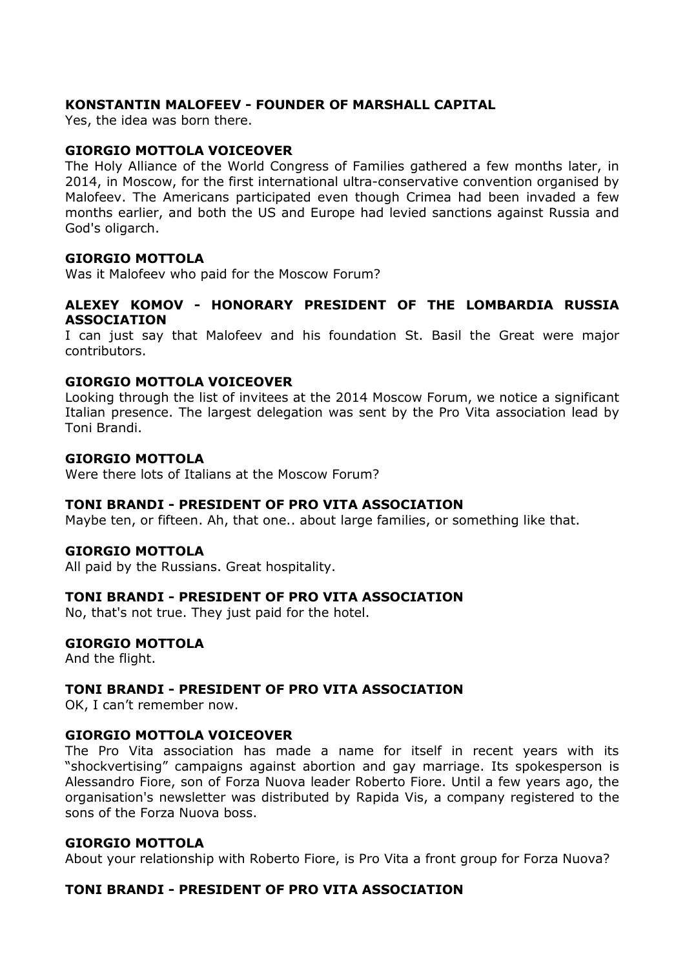# KONSTANTIN MALOFEEV - FOUNDER OF MARSHALL CAPITAL

Yes, the idea was born there.

#### GIORGIO MOTTOLA VOICEOVER

The Holy Alliance of the World Congress of Families gathered a few months later, in 2014, in Moscow, for the first international ultra-conservative convention organised by Malofeev. The Americans participated even though Crimea had been invaded a few months earlier, and both the US and Europe had levied sanctions against Russia and God's oligarch.

#### GIORGIO MOTTOLA

Was it Malofeev who paid for the Moscow Forum?

#### ALEXEY KOMOV - HONORARY PRESIDENT OF THE LOMBARDIA RUSSIA ASSOCIATION

I can just say that Malofeev and his foundation St. Basil the Great were major contributors.

#### GIORGIO MOTTOLA VOICEOVER

Looking through the list of invitees at the 2014 Moscow Forum, we notice a significant Italian presence. The largest delegation was sent by the Pro Vita association lead by Toni Brandi.

#### GIORGIO MOTTOLA

Were there lots of Italians at the Moscow Forum?

#### TONI BRANDI - PRESIDENT OF PRO VITA ASSOCIATION

Maybe ten, or fifteen. Ah, that one.. about large families, or something like that.

#### GIORGIO MOTTOLA

All paid by the Russians. Great hospitality.

#### TONI BRANDI - PRESIDENT OF PRO VITA ASSOCIATION

No, that's not true. They just paid for the hotel.

#### GIORGIO MOTTOLA

And the flight.

#### TONI BRANDI - PRESIDENT OF PRO VITA ASSOCIATION

OK, I can't remember now.

#### GIORGIO MOTTOLA VOICEOVER

The Pro Vita association has made a name for itself in recent years with its "shockvertising" campaigns against abortion and gay marriage. Its spokesperson is Alessandro Fiore, son of Forza Nuova leader Roberto Fiore. Until a few years ago, the organisation's newsletter was distributed by Rapida Vis, a company registered to the sons of the Forza Nuova boss.

#### GIORGIO MOTTOLA

About your relationship with Roberto Fiore, is Pro Vita a front group for Forza Nuova?

#### TONI BRANDI - PRESIDENT OF PRO VITA ASSOCIATION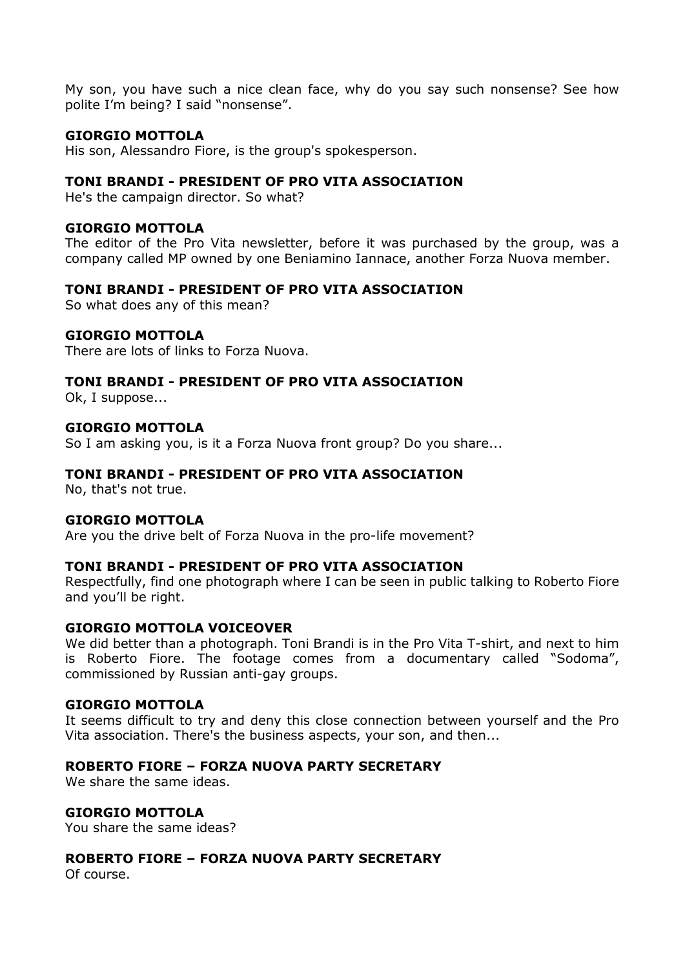My son, you have such a nice clean face, why do you say such nonsense? See how polite I'm being? I said "nonsense".

# GIORGIO MOTTOLA

His son, Alessandro Fiore, is the group's spokesperson.

#### TONI BRANDI - PRESIDENT OF PRO VITA ASSOCIATION

He's the campaign director. So what?

#### GIORGIO MOTTOLA

The editor of the Pro Vita newsletter, before it was purchased by the group, was a company called MP owned by one Beniamino Iannace, another Forza Nuova member.

# TONI BRANDI - PRESIDENT OF PRO VITA ASSOCIATION

So what does any of this mean?

#### GIORGIO MOTTOLA

There are lots of links to Forza Nuova.

#### TONI BRANDI - PRESIDENT OF PRO VITA ASSOCIATION

Ok, I suppose...

#### GIORGIO MOTTOLA

So I am asking you, is it a Forza Nuova front group? Do you share...

#### TONI BRANDI - PRESIDENT OF PRO VITA ASSOCIATION

No, that's not true.

#### GIORGIO MOTTOLA

Are you the drive belt of Forza Nuova in the pro-life movement?

#### TONI BRANDI - PRESIDENT OF PRO VITA ASSOCIATION

Respectfully, find one photograph where I can be seen in public talking to Roberto Fiore and you'll be right.

#### GIORGIO MOTTOLA VOICEOVER

We did better than a photograph. Toni Brandi is in the Pro Vita T-shirt, and next to him is Roberto Fiore. The footage comes from a documentary called "Sodoma", commissioned by Russian anti-gay groups.

#### GIORGIO MOTTOLA

It seems difficult to try and deny this close connection between yourself and the Pro Vita association. There's the business aspects, your son, and then...

#### ROBERTO FIORE – FORZA NUOVA PARTY SECRETARY

We share the same ideas.

#### GIORGIO MOTTOLA

You share the same ideas?

#### ROBERTO FIORE – FORZA NUOVA PARTY SECRETARY

Of course.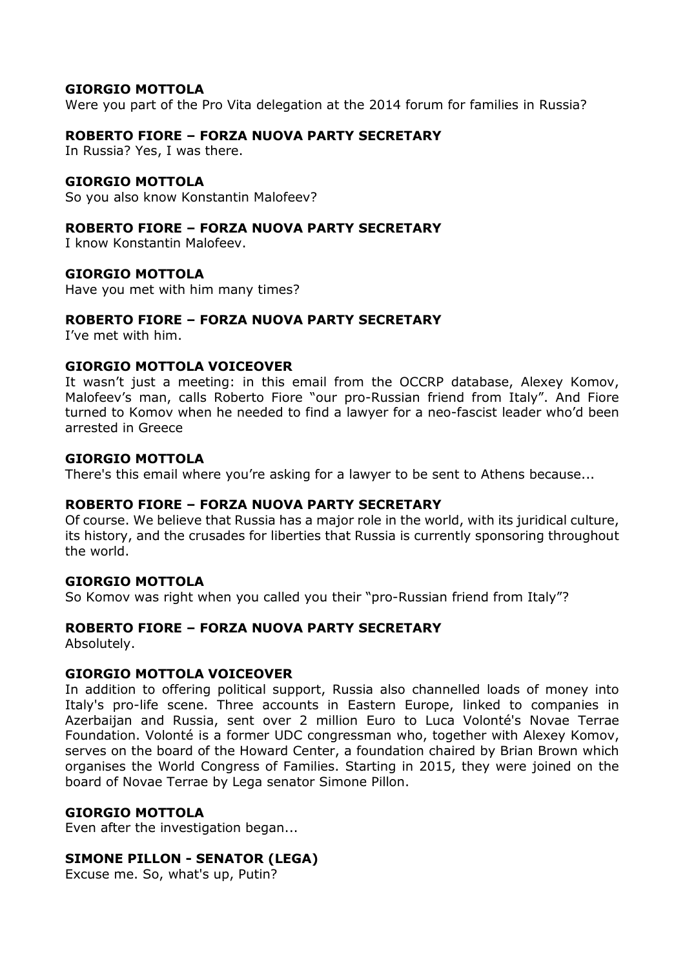Were you part of the Pro Vita delegation at the 2014 forum for families in Russia?

# ROBERTO FIORE – FORZA NUOVA PARTY SECRETARY

In Russia? Yes, I was there.

# GIORGIO MOTTOLA

So you also know Konstantin Malofeev?

# ROBERTO FIORE – FORZA NUOVA PARTY SECRETARY

I know Konstantin Malofeev.

# GIORGIO MOTTOLA

Have you met with him many times?

# ROBERTO FIORE – FORZA NUOVA PARTY SECRETARY

I've met with him.

#### GIORGIO MOTTOLA VOICEOVER

It wasn't just a meeting: in this email from the OCCRP database, Alexey Komov, Malofeev's man, calls Roberto Fiore "our pro-Russian friend from Italy". And Fiore turned to Komov when he needed to find a lawyer for a neo-fascist leader who'd been arrested in Greece

#### GIORGIO MOTTOLA

There's this email where you're asking for a lawyer to be sent to Athens because...

#### ROBERTO FIORE – FORZA NUOVA PARTY SECRETARY

Of course. We believe that Russia has a major role in the world, with its juridical culture, its history, and the crusades for liberties that Russia is currently sponsoring throughout the world.

# GIORGIO MOTTOLA

So Komov was right when you called you their "pro-Russian friend from Italy"?

# ROBERTO FIORE – FORZA NUOVA PARTY SECRETARY

Absolutely.

#### GIORGIO MOTTOLA VOICEOVER

In addition to offering political support, Russia also channelled loads of money into Italy's pro-life scene. Three accounts in Eastern Europe, linked to companies in Azerbaijan and Russia, sent over 2 million Euro to Luca Volonté's Novae Terrae Foundation. Volonté is a former UDC congressman who, together with Alexey Komov, serves on the board of the Howard Center, a foundation chaired by Brian Brown which organises the World Congress of Families. Starting in 2015, they were joined on the board of Novae Terrae by Lega senator Simone Pillon.

# GIORGIO MOTTOLA

Even after the investigation began...

# SIMONE PILLON - SENATOR (LEGA)

Excuse me. So, what's up, Putin?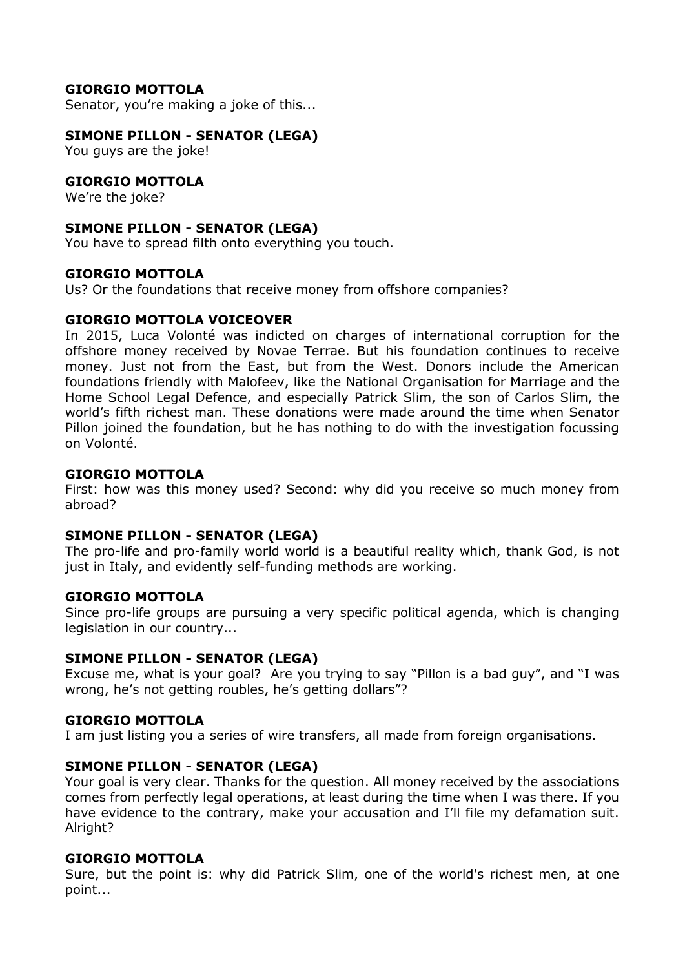Senator, you're making a joke of this...

# SIMONE PILLON - SENATOR (LEGA)

You guys are the joke!

# GIORGIO MOTTOLA

We're the joke?

# SIMONE PILLON - SENATOR (LEGA)

You have to spread filth onto everything you touch.

#### GIORGIO MOTTOLA

Us? Or the foundations that receive money from offshore companies?

# GIORGIO MOTTOLA VOICEOVER

In 2015, Luca Volonté was indicted on charges of international corruption for the offshore money received by Novae Terrae. But his foundation continues to receive money. Just not from the East, but from the West. Donors include the American foundations friendly with Malofeev, like the National Organisation for Marriage and the Home School Legal Defence, and especially Patrick Slim, the son of Carlos Slim, the world's fifth richest man. These donations were made around the time when Senator Pillon joined the foundation, but he has nothing to do with the investigation focussing on Volonté.

# GIORGIO MOTTOLA

First: how was this money used? Second: why did you receive so much money from abroad?

#### SIMONE PILLON - SENATOR (LEGA)

The pro-life and pro-family world world is a beautiful reality which, thank God, is not just in Italy, and evidently self-funding methods are working.

#### GIORGIO MOTTOLA

Since pro-life groups are pursuing a very specific political agenda, which is changing legislation in our country...

#### SIMONE PILLON - SENATOR (LEGA)

Excuse me, what is your goal? Are you trying to say "Pillon is a bad guy", and "I was wrong, he's not getting roubles, he's getting dollars"?

#### GIORGIO MOTTOLA

I am just listing you a series of wire transfers, all made from foreign organisations.

#### SIMONE PILLON - SENATOR (LEGA)

Your goal is very clear. Thanks for the question. All money received by the associations comes from perfectly legal operations, at least during the time when I was there. If you have evidence to the contrary, make your accusation and I'll file my defamation suit. Alright?

#### GIORGIO MOTTOLA

Sure, but the point is: why did Patrick Slim, one of the world's richest men, at one point...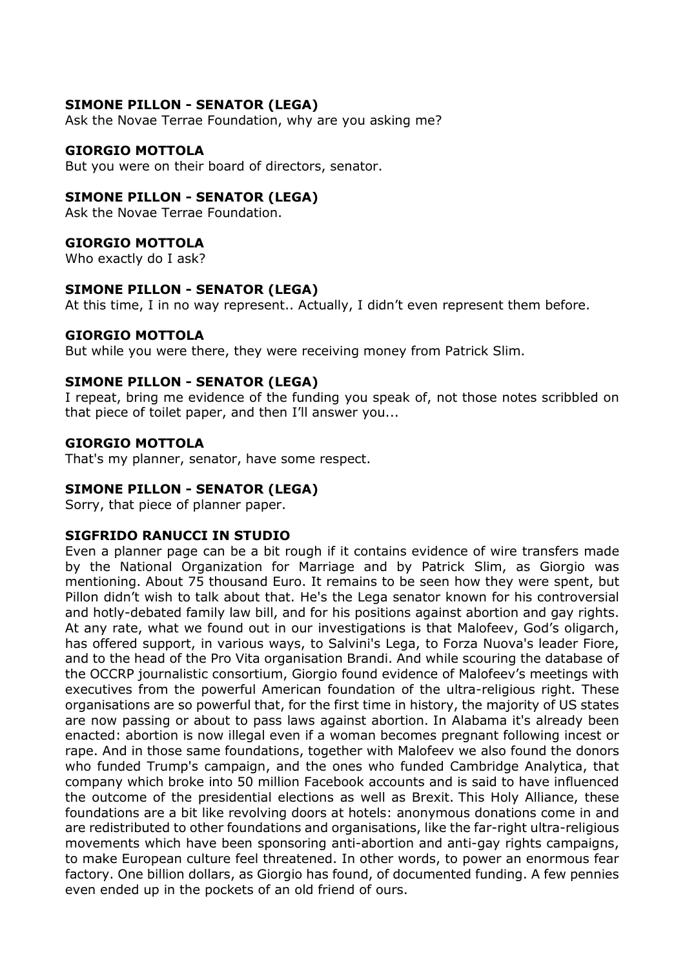# SIMONE PILLON - SENATOR (LEGA)

Ask the Novae Terrae Foundation, why are you asking me?

#### GIORGIO MOTTOLA

But you were on their board of directors, senator.

#### SIMONE PILLON - SENATOR (LEGA)

Ask the Novae Terrae Foundation.

#### GIORGIO MOTTOLA

Who exactly do I ask?

#### SIMONE PILLON - SENATOR (LEGA)

At this time, I in no way represent.. Actually, I didn't even represent them before.

#### GIORGIO MOTTOLA

But while you were there, they were receiving money from Patrick Slim.

#### SIMONE PILLON - SENATOR (LEGA)

I repeat, bring me evidence of the funding you speak of, not those notes scribbled on that piece of toilet paper, and then I'll answer you...

#### GIORGIO MOTTOLA

That's my planner, senator, have some respect.

#### SIMONE PILLON - SENATOR (LEGA)

Sorry, that piece of planner paper.

#### SIGFRIDO RANUCCI IN STUDIO

Even a planner page can be a bit rough if it contains evidence of wire transfers made by the National Organization for Marriage and by Patrick Slim, as Giorgio was mentioning. About 75 thousand Euro. It remains to be seen how they were spent, but Pillon didn't wish to talk about that. He's the Lega senator known for his controversial and hotly-debated family law bill, and for his positions against abortion and gay rights. At any rate, what we found out in our investigations is that Malofeev, God's oligarch, has offered support, in various ways, to Salvini's Lega, to Forza Nuova's leader Fiore, and to the head of the Pro Vita organisation Brandi. And while scouring the database of the OCCRP journalistic consortium, Giorgio found evidence of Malofeev's meetings with executives from the powerful American foundation of the ultra-religious right. These organisations are so powerful that, for the first time in history, the majority of US states are now passing or about to pass laws against abortion. In Alabama it's already been enacted: abortion is now illegal even if a woman becomes pregnant following incest or rape. And in those same foundations, together with Malofeev we also found the donors who funded Trump's campaign, and the ones who funded Cambridge Analytica, that company which broke into 50 million Facebook accounts and is said to have influenced the outcome of the presidential elections as well as Brexit. This Holy Alliance, these foundations are a bit like revolving doors at hotels: anonymous donations come in and are redistributed to other foundations and organisations, like the far-right ultra-religious movements which have been sponsoring anti-abortion and anti-gay rights campaigns, to make European culture feel threatened. In other words, to power an enormous fear factory. One billion dollars, as Giorgio has found, of documented funding. A few pennies even ended up in the pockets of an old friend of ours.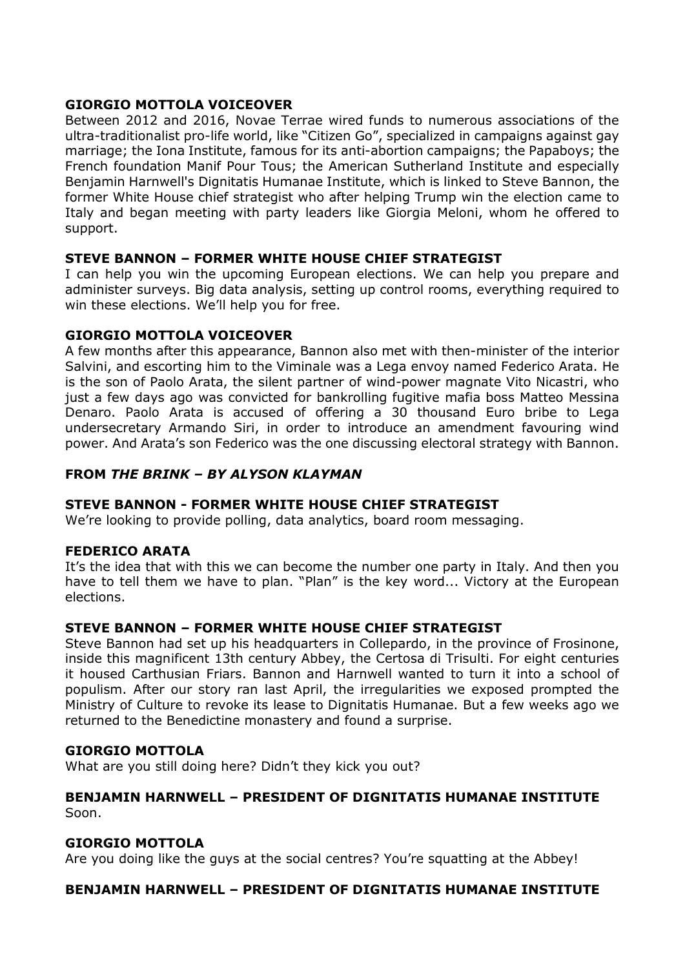# GIORGIO MOTTOLA VOICEOVER

Between 2012 and 2016, Novae Terrae wired funds to numerous associations of the ultra-traditionalist pro-life world, like "Citizen Go", specialized in campaigns against gay marriage; the Iona Institute, famous for its anti-abortion campaigns; the Papaboys; the French foundation Manif Pour Tous; the American Sutherland Institute and especially Benjamin Harnwell's Dignitatis Humanae Institute, which is linked to Steve Bannon, the former White House chief strategist who after helping Trump win the election came to Italy and began meeting with party leaders like Giorgia Meloni, whom he offered to support.

# STEVE BANNON – FORMER WHITE HOUSE CHIEF STRATEGIST

I can help you win the upcoming European elections. We can help you prepare and administer surveys. Big data analysis, setting up control rooms, everything required to win these elections. We'll help you for free.

# GIORGIO MOTTOLA VOICEOVER

A few months after this appearance, Bannon also met with then-minister of the interior Salvini, and escorting him to the Viminale was a Lega envoy named Federico Arata. He is the son of Paolo Arata, the silent partner of wind-power magnate Vito Nicastri, who just a few days ago was convicted for bankrolling fugitive mafia boss Matteo Messina Denaro. Paolo Arata is accused of offering a 30 thousand Euro bribe to Lega undersecretary Armando Siri, in order to introduce an amendment favouring wind power. And Arata's son Federico was the one discussing electoral strategy with Bannon.

# FROM THE BRINK – BY ALYSON KLAYMAN

#### STEVE BANNON - FORMER WHITE HOUSE CHIEF STRATEGIST

We're looking to provide polling, data analytics, board room messaging.

#### FEDERICO ARATA

It's the idea that with this we can become the number one party in Italy. And then you have to tell them we have to plan. "Plan" is the key word... Victory at the European elections.

#### STEVE BANNON – FORMER WHITE HOUSE CHIEF STRATEGIST

Steve Bannon had set up his headquarters in Collepardo, in the province of Frosinone, inside this magnificent 13th century Abbey, the Certosa di Trisulti. For eight centuries it housed Carthusian Friars. Bannon and Harnwell wanted to turn it into a school of populism. After our story ran last April, the irregularities we exposed prompted the Ministry of Culture to revoke its lease to Dignitatis Humanae. But a few weeks ago we returned to the Benedictine monastery and found a surprise.

#### GIORGIO MOTTOLA

What are you still doing here? Didn't they kick you out?

#### BENJAMIN HARNWELL – PRESIDENT OF DIGNITATIS HUMANAE INSTITUTE Soon.

#### GIORGIO MOTTOLA

Are you doing like the guys at the social centres? You're squatting at the Abbey!

# BENJAMIN HARNWELL – PRESIDENT OF DIGNITATIS HUMANAE INSTITUTE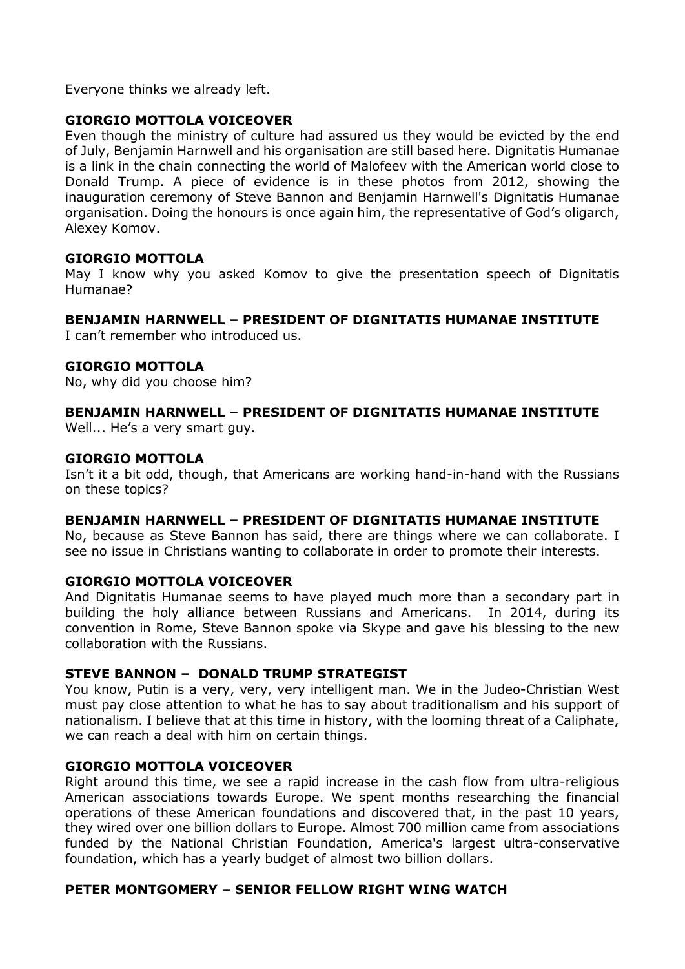Everyone thinks we already left.

# GIORGIO MOTTOLA VOICEOVER

Even though the ministry of culture had assured us they would be evicted by the end of July, Benjamin Harnwell and his organisation are still based here. Dignitatis Humanae is a link in the chain connecting the world of Malofeev with the American world close to Donald Trump. A piece of evidence is in these photos from 2012, showing the inauguration ceremony of Steve Bannon and Benjamin Harnwell's Dignitatis Humanae organisation. Doing the honours is once again him, the representative of God's oligarch, Alexey Komov.

# GIORGIO MOTTOLA

May I know why you asked Komov to give the presentation speech of Dignitatis Humanae?

#### BENJAMIN HARNWELL – PRESIDENT OF DIGNITATIS HUMANAE INSTITUTE

I can't remember who introduced us.

#### GIORGIO MOTTOLA

No, why did you choose him?

# BENJAMIN HARNWELL – PRESIDENT OF DIGNITATIS HUMANAE INSTITUTE

Well... He's a very smart guy.

#### GIORGIO MOTTOLA

Isn't it a bit odd, though, that Americans are working hand-in-hand with the Russians on these topics?

#### BENJAMIN HARNWELL – PRESIDENT OF DIGNITATIS HUMANAE INSTITUTE

No, because as Steve Bannon has said, there are things where we can collaborate. I see no issue in Christians wanting to collaborate in order to promote their interests.

#### GIORGIO MOTTOLA VOICEOVER

And Dignitatis Humanae seems to have played much more than a secondary part in building the holy alliance between Russians and Americans. In 2014, during its convention in Rome, Steve Bannon spoke via Skype and gave his blessing to the new collaboration with the Russians.

#### STEVE BANNON – DONALD TRUMP STRATEGIST

You know, Putin is a very, very, very intelligent man. We in the Judeo-Christian West must pay close attention to what he has to say about traditionalism and his support of nationalism. I believe that at this time in history, with the looming threat of a Caliphate, we can reach a deal with him on certain things.

#### GIORGIO MOTTOLA VOICEOVER

Right around this time, we see a rapid increase in the cash flow from ultra-religious American associations towards Europe. We spent months researching the financial operations of these American foundations and discovered that, in the past 10 years, they wired over one billion dollars to Europe. Almost 700 million came from associations funded by the National Christian Foundation, America's largest ultra-conservative foundation, which has a yearly budget of almost two billion dollars.

#### PETER MONTGOMERY – SENIOR FELLOW RIGHT WING WATCH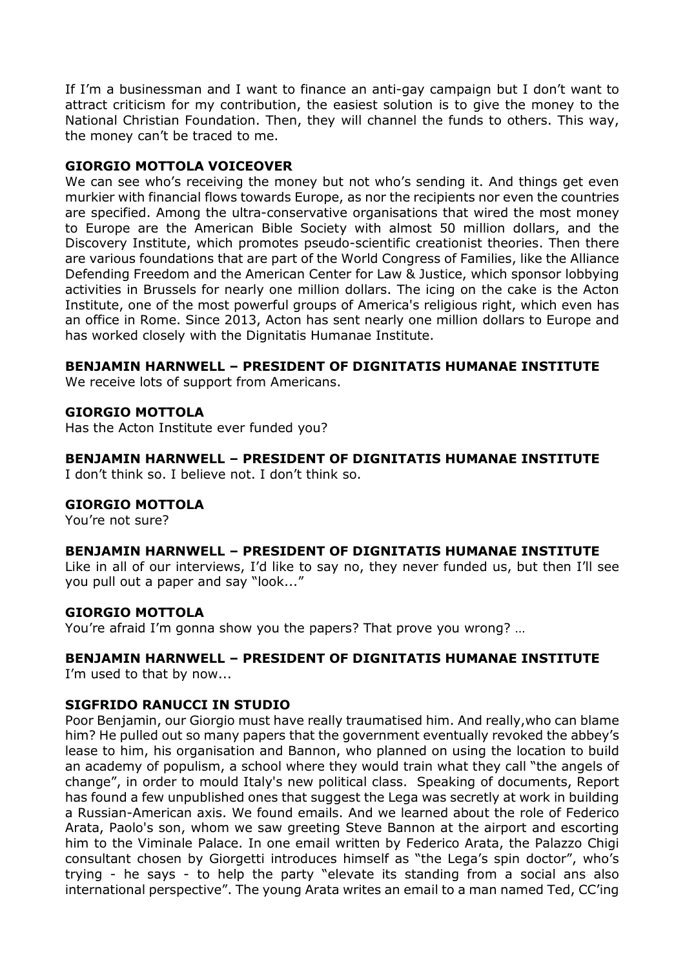If I'm a businessman and I want to finance an anti-gay campaign but I don't want to attract criticism for my contribution, the easiest solution is to give the money to the National Christian Foundation. Then, they will channel the funds to others. This way, the money can't be traced to me.

# GIORGIO MOTTOLA VOICEOVER

We can see who's receiving the money but not who's sending it. And things get even murkier with financial flows towards Europe, as nor the recipients nor even the countries are specified. Among the ultra-conservative organisations that wired the most money to Europe are the American Bible Society with almost 50 million dollars, and the Discovery Institute, which promotes pseudo-scientific creationist theories. Then there are various foundations that are part of the World Congress of Families, like the Alliance Defending Freedom and the American Center for Law & Justice, which sponsor lobbying activities in Brussels for nearly one million dollars. The icing on the cake is the Acton Institute, one of the most powerful groups of America's religious right, which even has an office in Rome. Since 2013, Acton has sent nearly one million dollars to Europe and has worked closely with the Dignitatis Humanae Institute.

# BENJAMIN HARNWELL – PRESIDENT OF DIGNITATIS HUMANAE INSTITUTE

We receive lots of support from Americans.

# GIORGIO MOTTOLA

Has the Acton Institute ever funded you?

# BENJAMIN HARNWELL – PRESIDENT OF DIGNITATIS HUMANAE INSTITUTE

I don't think so. I believe not. I don't think so.

#### GIORGIO MOTTOLA

You're not sure?

#### BENJAMIN HARNWELL – PRESIDENT OF DIGNITATIS HUMANAE INSTITUTE

Like in all of our interviews, I'd like to say no, they never funded us, but then I'll see you pull out a paper and say "look..."

#### GIORGIO MOTTOLA

You're afraid I'm gonna show you the papers? That prove you wrong? …

#### BENJAMIN HARNWELL – PRESIDENT OF DIGNITATIS HUMANAE INSTITUTE

I'm used to that by now...

#### SIGFRIDO RANUCCI IN STUDIO

Poor Benjamin, our Giorgio must have really traumatised him. And really,who can blame him? He pulled out so many papers that the government eventually revoked the abbey's lease to him, his organisation and Bannon, who planned on using the location to build an academy of populism, a school where they would train what they call "the angels of change", in order to mould Italy's new political class. Speaking of documents, Report has found a few unpublished ones that suggest the Lega was secretly at work in building a Russian-American axis. We found emails. And we learned about the role of Federico Arata, Paolo's son, whom we saw greeting Steve Bannon at the airport and escorting him to the Viminale Palace. In one email written by Federico Arata, the Palazzo Chigi consultant chosen by Giorgetti introduces himself as "the Lega's spin doctor", who's trying - he says - to help the party "elevate its standing from a social ans also international perspective". The young Arata writes an email to a man named Ted, CC'ing